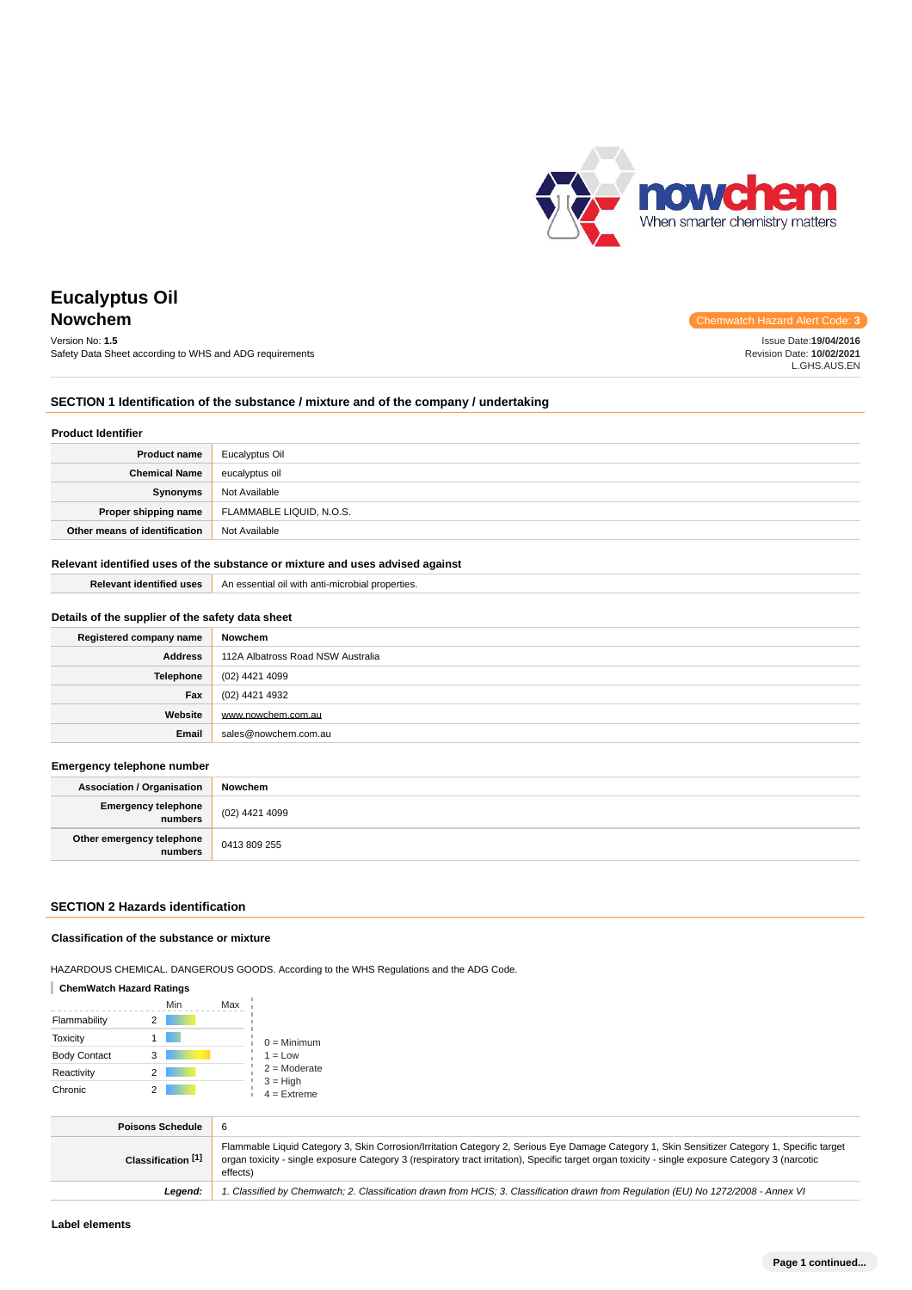

Issue Date:**19/04/2016** Revision Date: **10/02/2021** L.GHS.AUS.EN

# **Eucalyptus Oil Nowchem** Chemwatch Hazard Alert Code: 3

# Version No: **1.5**

Safety Data Sheet according to WHS and ADG requirements

# **SECTION 1 Identification of the substance / mixture and of the company / undertaking**

#### **Product Identifier**

| <b>Product name</b>           | Eucalyptus Oil           |
|-------------------------------|--------------------------|
| <b>Chemical Name</b>          | eucalyptus oil           |
| Synonyms                      | Not Available            |
| Proper shipping name          | FLAMMABLE LIQUID, N.O.S. |
| Other means of identification | Not Available            |

# **Relevant identified uses of the substance or mixture and uses advised against**

**Relevant identified uses** An essential oil with anti-microbial properties.

| Details of the supplier of the safety data sheet |                                   |  |
|--------------------------------------------------|-----------------------------------|--|
| Registered company name                          | Nowchem                           |  |
| <b>Address</b>                                   | 112A Albatross Road NSW Australia |  |
| Telephone                                        | (02) 4421 4099                    |  |
| Fax                                              | (02) 4421 4932                    |  |
| Website                                          | www.nowchem.com.au                |  |
| Email                                            | sales@nowchem.com.au              |  |

### **Emergency telephone number**

| <b>Association / Organisation</b>    | Nowchem        |
|--------------------------------------|----------------|
| Emergency telephone<br>numbers       | (02) 4421 4099 |
| Other emergency telephone<br>numbers | 0413 809 255   |

### **SECTION 2 Hazards identification**

### **Classification of the substance or mixture**

HAZARDOUS CHEMICAL. DANGEROUS GOODS. According to the WHS Regulations and the ADG Code.

#### **ChemWatch Hazard Ratings**

|                     |   | Min | Max |                             |
|---------------------|---|-----|-----|-----------------------------|
| Flammability        |   |     |     |                             |
| <b>Toxicity</b>     |   |     |     | $0 =$ Minimum               |
| <b>Body Contact</b> | 3 |     |     | $1 = Low$                   |
| Reactivity          | 2 |     |     | $2 =$ Moderate              |
| Chronic             |   |     |     | $3 = High$<br>$4 =$ Extreme |

| <b>Poisons Schedule</b> |                                                                                                                                                                                                                                                                                                                |
|-------------------------|----------------------------------------------------------------------------------------------------------------------------------------------------------------------------------------------------------------------------------------------------------------------------------------------------------------|
| Classification [1]      | Flammable Liquid Category 3, Skin Corrosion/Irritation Category 2, Serious Eye Damage Category 1, Skin Sensitizer Category 1, Specific target<br>organ toxicity - single exposure Category 3 (respiratory tract irritation), Specific target organ toxicity - single exposure Category 3 (narcotic<br>effects) |
| Leaend:                 | 1. Classified by Chemwatch; 2. Classification drawn from HCIS; 3. Classification drawn from Regulation (EU) No 1272/2008 - Annex VI                                                                                                                                                                            |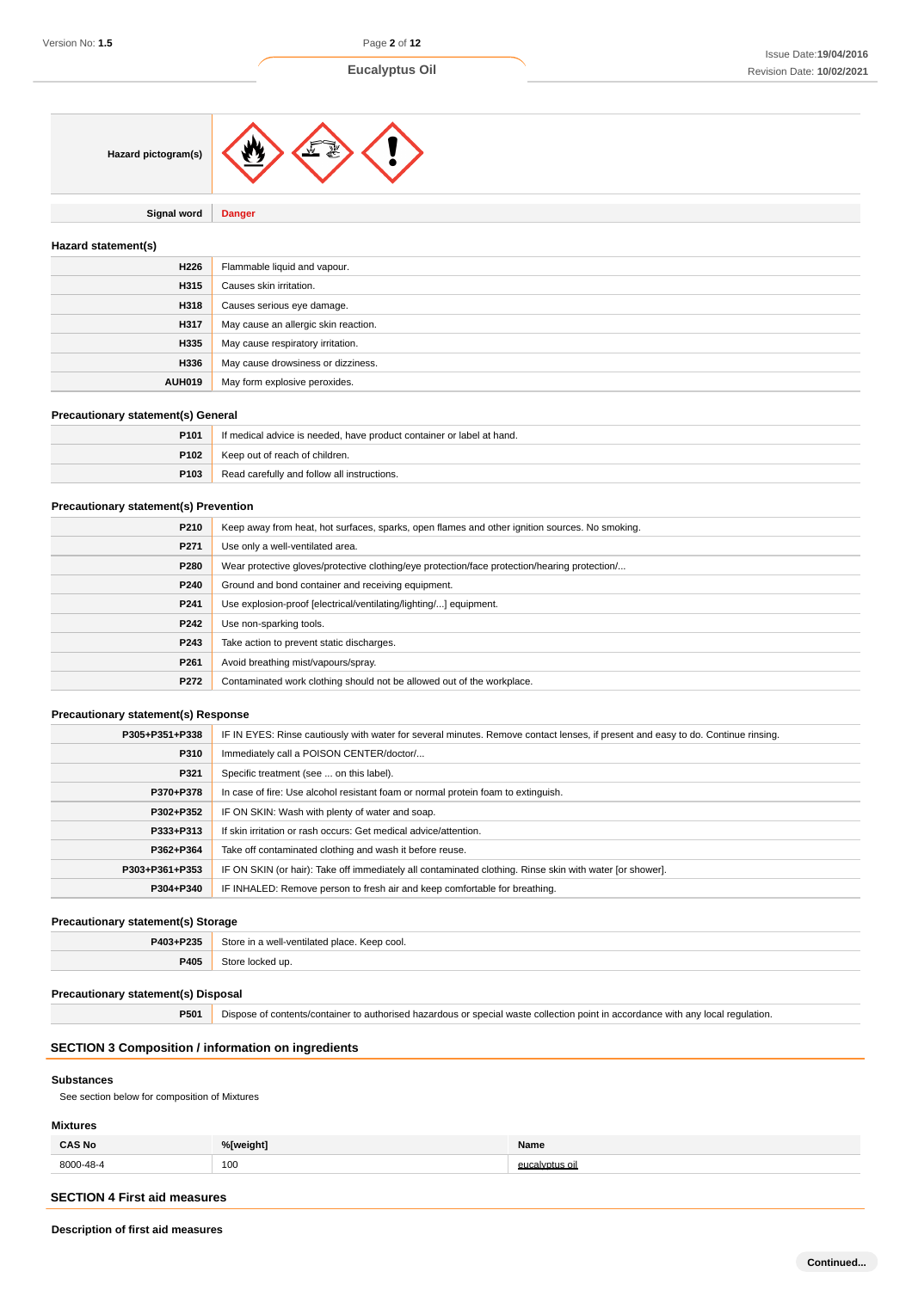

**Signal word Danger**

# **Hazard statement(s)**

| H226          | Flammable liquid and vapour.         |
|---------------|--------------------------------------|
| H315          | Causes skin irritation.              |
| H318          | Causes serious eye damage.           |
| H317          | May cause an allergic skin reaction. |
| H335          | May cause respiratory irritation.    |
| H336          | May cause drowsiness or dizziness.   |
| <b>AUH019</b> | May form explosive peroxides.        |

### **Precautionary statement(s) General**

| P <sub>101</sub> | If medical advice is needed, have product container or label at hand. |
|------------------|-----------------------------------------------------------------------|
| P102             | Keep out of reach of children.                                        |
| P103             | Read carefully and follow all instructions.                           |

### **Precautionary statement(s) Prevention**

| P210             | Keep away from heat, hot surfaces, sparks, open flames and other ignition sources. No smoking. |
|------------------|------------------------------------------------------------------------------------------------|
| P271             | Use only a well-ventilated area.                                                               |
| P280             | Wear protective gloves/protective clothing/eye protection/face protection/hearing protection/  |
| P240             | Ground and bond container and receiving equipment.                                             |
| P241             | Use explosion-proof [electrical/ventilating/lighting/] equipment.                              |
| P242             | Use non-sparking tools.                                                                        |
| P243             | Take action to prevent static discharges.                                                      |
| P <sub>261</sub> | Avoid breathing mist/vapours/spray.                                                            |
| P272             | Contaminated work clothing should not be allowed out of the workplace.                         |

# **Precautionary statement(s) Response**

| P305+P351+P338 | IF IN EYES: Rinse cautiously with water for several minutes. Remove contact lenses, if present and easy to do. Continue rinsing. |
|----------------|----------------------------------------------------------------------------------------------------------------------------------|
| P310           | Immediately call a POISON CENTER/doctor/                                                                                         |
| P321           | Specific treatment (see  on this label).                                                                                         |
| P370+P378      | In case of fire: Use alcohol resistant foam or normal protein foam to extinguish.                                                |
| P302+P352      | IF ON SKIN: Wash with plenty of water and soap.                                                                                  |
| P333+P313      | If skin irritation or rash occurs: Get medical advice/attention.                                                                 |
| P362+P364      | Take off contaminated clothing and wash it before reuse.                                                                         |
| P303+P361+P353 | IF ON SKIN (or hair): Take off immediately all contaminated clothing. Rinse skin with water [or shower].                         |
| P304+P340      | IF INHALED: Remove person to fresh air and keep comfortable for breathing.                                                       |

# **Precautionary statement(s) Storage**

| <b>P403+P235</b> | $:$ toro<br>Keep cool.<br>n a well-ventilated place. |
|------------------|------------------------------------------------------|
| DANE.<br>້⇔ບວ    | ked up.                                              |

# **Precautionary statement(s) Disposal**

**P501** Dispose of contents/container to authorised hazardous or special waste collection point in accordance with any local regulation.

# **SECTION 3 Composition / information on ingredients**

## **Substances**

See section below for composition of Mixtures

# **Mixtures**

| <b>CAS No</b> | %[weight]            | Name               |
|---------------|----------------------|--------------------|
| 8000-48-4     | 100<br>$\sim$ $\sim$ | euca<br>Ivotus oil |

# **SECTION 4 First aid measures**

**Description of first aid measures**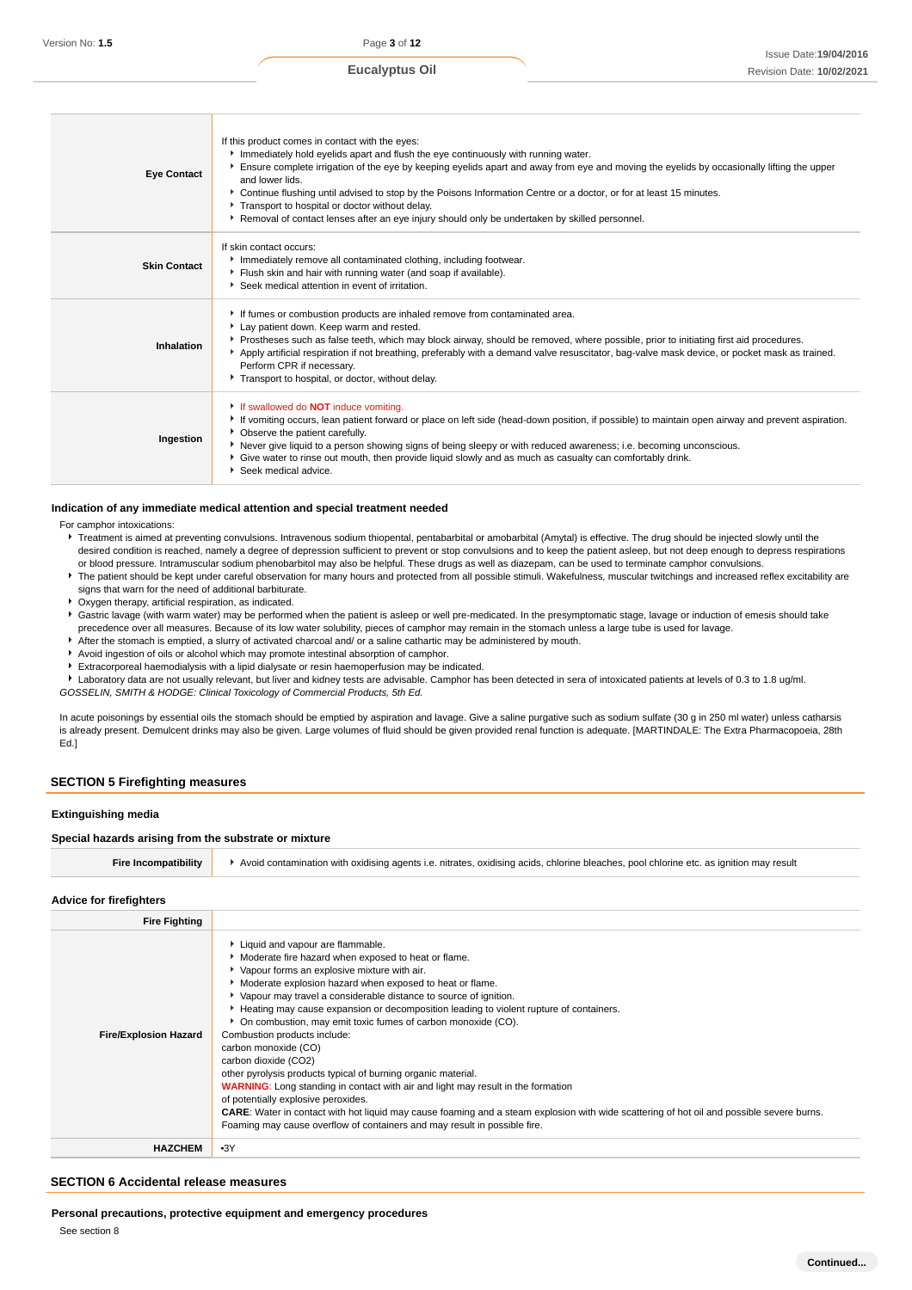| <b>Eye Contact</b>  | If this product comes in contact with the eyes:<br>Immediately hold eyelids apart and flush the eye continuously with running water.<br>Ensure complete irrigation of the eye by keeping eyelids apart and away from eye and moving the eyelids by occasionally lifting the upper<br>and lower lids.<br>▶ Continue flushing until advised to stop by the Poisons Information Centre or a doctor, or for at least 15 minutes.<br>Transport to hospital or doctor without delay.<br>Removal of contact lenses after an eye injury should only be undertaken by skilled personnel. |
|---------------------|---------------------------------------------------------------------------------------------------------------------------------------------------------------------------------------------------------------------------------------------------------------------------------------------------------------------------------------------------------------------------------------------------------------------------------------------------------------------------------------------------------------------------------------------------------------------------------|
| <b>Skin Contact</b> | If skin contact occurs:<br>Immediately remove all contaminated clothing, including footwear.<br>Flush skin and hair with running water (and soap if available).<br>Seek medical attention in event of irritation.                                                                                                                                                                                                                                                                                                                                                               |
| Inhalation          | If fumes or combustion products are inhaled remove from contaminated area.<br>Lay patient down. Keep warm and rested.<br>Prostheses such as false teeth, which may block airway, should be removed, where possible, prior to initiating first aid procedures.<br>Apply artificial respiration if not breathing, preferably with a demand valve resuscitator, bag-valve mask device, or pocket mask as trained.<br>Perform CPR if necessary.<br>Transport to hospital, or doctor, without delay.                                                                                 |
| Ingestion           | If swallowed do <b>NOT</b> induce vomiting.<br>If vomiting occurs, lean patient forward or place on left side (head-down position, if possible) to maintain open airway and prevent aspiration.<br>• Observe the patient carefully.<br>Never give liquid to a person showing signs of being sleepy or with reduced awareness; i.e. becoming unconscious.<br>• Give water to rinse out mouth, then provide liquid slowly and as much as casualty can comfortably drink.<br>$\blacktriangleright$ Seek medical advice.                                                            |

#### **Indication of any immediate medical attention and special treatment needed**

For camphor intoxications:

- Freatment is aimed at preventing convulsions. Intravenous sodium thiopental, pentabarbital or amobarbital (Amytal) is effective. The drug should be injected slowly until the desired condition is reached, namely a degree of depression sufficient to prevent or stop convulsions and to keep the patient asleep, but not deep enough to depress respirations or blood pressure. Intramuscular sodium phenobarbitol may also be helpful. These drugs as well as diazepam, can be used to terminate camphor convulsions.
- The patient should be kept under careful observation for many hours and protected from all possible stimuli. Wakefulness, muscular twitchings and increased reflex excitability are signs that warn for the need of additional barbiturate.
- Oxygen therapy, artificial respiration, as indicated.
- Gastric lavage (with warm water) may be performed when the patient is asleep or well pre-medicated. In the presymptomatic stage, lavage or induction of emesis should take precedence over all measures. Because of its low water solubility, pieces of camphor may remain in the stomach unless a large tube is used for lavage.
- After the stomach is emptied, a slurry of activated charcoal and/ or a saline cathartic may be administered by mouth.
- Avoid ingestion of oils or alcohol which may promote intestinal absorption of camphor.
- Extracorporeal haemodialysis with a lipid dialysate or resin haemoperfusion may be indicated.

Laboratory data are not usually relevant, but liver and kidney tests are advisable. Camphor has been detected in sera of intoxicated patients at levels of 0.3 to 1.8 ug/ml. GOSSELIN, SMITH & HODGE: Clinical Toxicology of Commercial Products, 5th Ed.

In acute poisonings by essential oils the stomach should be emptied by aspiration and lavage. Give a saline purgative such as sodium sulfate (30 g in 250 ml water) unless catharsis is already present. Demulcent drinks may also be given. Large volumes of fluid should be given provided renal function is adequate. [MARTINDALE: The Extra Pharmacopoeia, 28th Ed.]

### **SECTION 5 Firefighting measures**

#### **Extinguishing media**

### **Special hazards arising from the substrate or mixture**

#### **Advice for firefighters**

| <b>Fire Fighting</b>         |                                                                                                                                                                                                                                                                                                                                                                                                                                                                                                                                                                                                                                                                                                                                                                                                                                                                                                                                                          |
|------------------------------|----------------------------------------------------------------------------------------------------------------------------------------------------------------------------------------------------------------------------------------------------------------------------------------------------------------------------------------------------------------------------------------------------------------------------------------------------------------------------------------------------------------------------------------------------------------------------------------------------------------------------------------------------------------------------------------------------------------------------------------------------------------------------------------------------------------------------------------------------------------------------------------------------------------------------------------------------------|
| <b>Fire/Explosion Hazard</b> | Liquid and vapour are flammable.<br>Moderate fire hazard when exposed to heat or flame.<br>Vapour forms an explosive mixture with air.<br>Moderate explosion hazard when exposed to heat or flame.<br>▶ Vapour may travel a considerable distance to source of ignition.<br>Heating may cause expansion or decomposition leading to violent rupture of containers.<br>• On combustion, may emit toxic fumes of carbon monoxide (CO).<br>Combustion products include:<br>carbon monoxide (CO)<br>carbon dioxide (CO2)<br>other pyrolysis products typical of burning organic material.<br><b>WARNING:</b> Long standing in contact with air and light may result in the formation<br>of potentially explosive peroxides.<br><b>CARE:</b> Water in contact with hot liquid may cause foaming and a steam explosion with wide scattering of hot oil and possible severe burns.<br>Foaming may cause overflow of containers and may result in possible fire. |
| <b>HAZCHEM</b>               | $-3Y$                                                                                                                                                                                                                                                                                                                                                                                                                                                                                                                                                                                                                                                                                                                                                                                                                                                                                                                                                    |

### **SECTION 6 Accidental release measures**

**Personal precautions, protective equipment and emergency procedures**

See section 8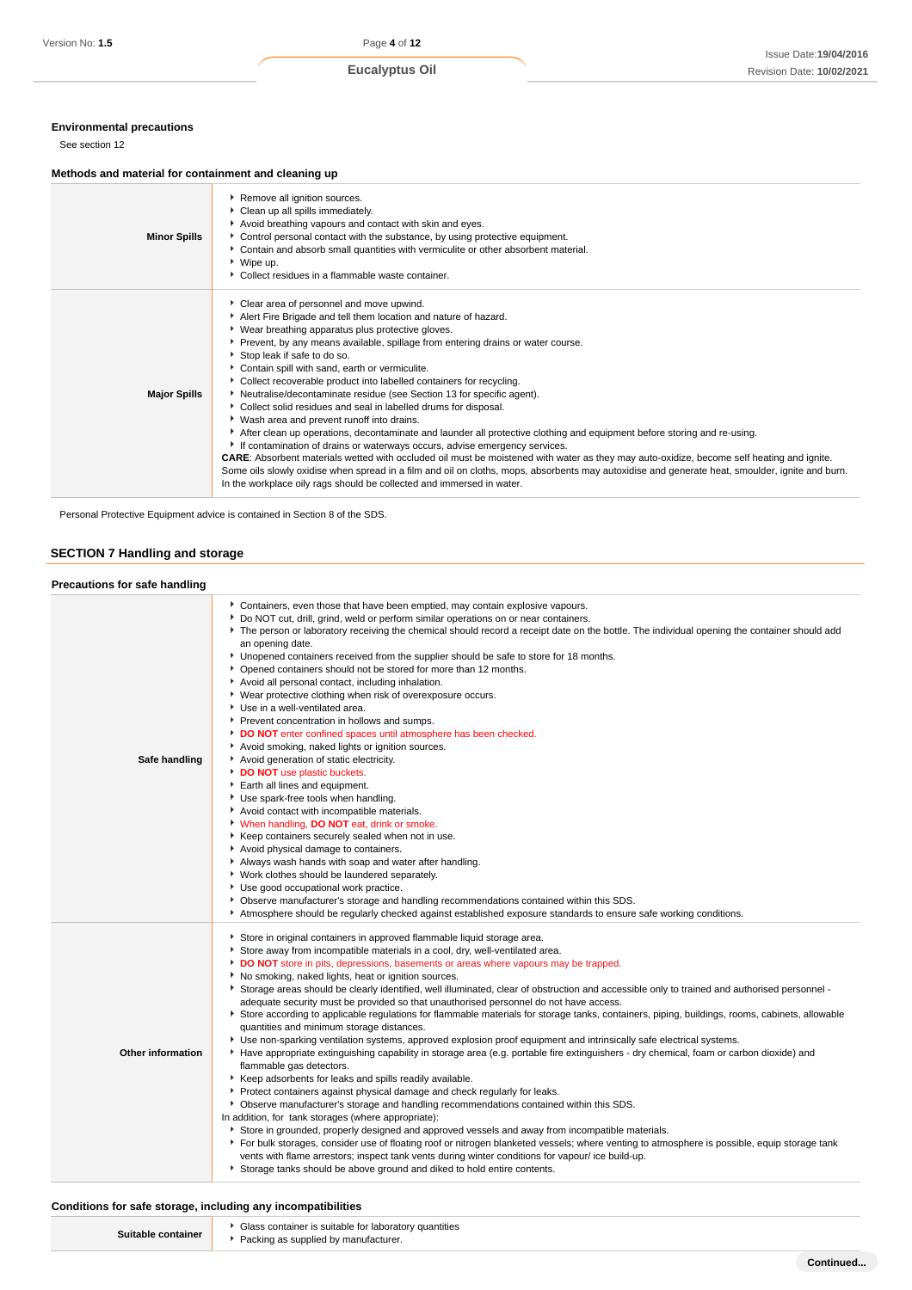# **Environmental precautions**

See section 12

# **Methods and material for containment and cleaning up**

| <b>Minor Spills</b> | Remove all ignition sources.<br>Clean up all spills immediately.<br>Avoid breathing vapours and contact with skin and eyes.<br>Control personal contact with the substance, by using protective equipment.<br>• Contain and absorb small quantities with vermiculite or other absorbent material.<br>▶ Wipe up.<br>• Collect residues in a flammable waste container.                                                                                                                                                                                                                                                                                                                                                                                                                                                                                                                                                                                                                                                                                                                                                                                                                                |
|---------------------|------------------------------------------------------------------------------------------------------------------------------------------------------------------------------------------------------------------------------------------------------------------------------------------------------------------------------------------------------------------------------------------------------------------------------------------------------------------------------------------------------------------------------------------------------------------------------------------------------------------------------------------------------------------------------------------------------------------------------------------------------------------------------------------------------------------------------------------------------------------------------------------------------------------------------------------------------------------------------------------------------------------------------------------------------------------------------------------------------------------------------------------------------------------------------------------------------|
| <b>Major Spills</b> | Clear area of personnel and move upwind.<br>Alert Fire Brigade and tell them location and nature of hazard.<br>▶ Wear breathing apparatus plus protective gloves.<br>▶ Prevent, by any means available, spillage from entering drains or water course.<br>Stop leak if safe to do so.<br>Contain spill with sand, earth or vermiculite.<br>• Collect recoverable product into labelled containers for recycling.<br>Neutralise/decontaminate residue (see Section 13 for specific agent).<br>Collect solid residues and seal in labelled drums for disposal.<br>• Wash area and prevent runoff into drains.<br>After clean up operations, decontaminate and launder all protective clothing and equipment before storing and re-using.<br>If contamination of drains or waterways occurs, advise emergency services.<br><b>CARE:</b> Absorbent materials wetted with occluded oil must be moistened with water as they may auto-oxidize, become self heating and ignite.<br>Some oils slowly oxidise when spread in a film and oil on cloths, mops, absorbents may autoxidise and generate heat, smoulder, ignite and burn.<br>In the workplace oily rags should be collected and immersed in water. |

Personal Protective Equipment advice is contained in Section 8 of the SDS.

# **SECTION 7 Handling and storage**

| Precautions for safe handling |                                                                                                                                                                                                                                                                                                                                                                                                                                                                                                                                                                                                                                                                                                                                                                                                                                                                                                                                                                                                                                                                                                                                                                                                                                                                                                                                                                                                                                                                                                                                                                                                                                                                                                                                                                               |
|-------------------------------|-------------------------------------------------------------------------------------------------------------------------------------------------------------------------------------------------------------------------------------------------------------------------------------------------------------------------------------------------------------------------------------------------------------------------------------------------------------------------------------------------------------------------------------------------------------------------------------------------------------------------------------------------------------------------------------------------------------------------------------------------------------------------------------------------------------------------------------------------------------------------------------------------------------------------------------------------------------------------------------------------------------------------------------------------------------------------------------------------------------------------------------------------------------------------------------------------------------------------------------------------------------------------------------------------------------------------------------------------------------------------------------------------------------------------------------------------------------------------------------------------------------------------------------------------------------------------------------------------------------------------------------------------------------------------------------------------------------------------------------------------------------------------------|
| Safe handling                 | Containers, even those that have been emptied, may contain explosive vapours.<br>• Do NOT cut, drill, grind, weld or perform similar operations on or near containers.<br>The person or laboratory receiving the chemical should record a receipt date on the bottle. The individual opening the container should add<br>an opening date.<br>• Unopened containers received from the supplier should be safe to store for 18 months.<br>• Opened containers should not be stored for more than 12 months.<br>Avoid all personal contact, including inhalation.<br>▶ Wear protective clothing when risk of overexposure occurs.<br>Use in a well-ventilated area.<br>Prevent concentration in hollows and sumps.<br>DO NOT enter confined spaces until atmosphere has been checked.<br>Avoid smoking, naked lights or ignition sources.<br>Avoid generation of static electricity.<br>DO NOT use plastic buckets.<br>Earth all lines and equipment.<br>Use spark-free tools when handling.<br>Avoid contact with incompatible materials.<br>V When handling, DO NOT eat, drink or smoke.<br>Keep containers securely sealed when not in use.<br>Avoid physical damage to containers.<br>Always wash hands with soap and water after handling.<br>• Work clothes should be laundered separately.<br>Use good occupational work practice.<br>▶ Observe manufacturer's storage and handling recommendations contained within this SDS.<br>Atmosphere should be regularly checked against established exposure standards to ensure safe working conditions.                                                                                                                                                                                                                        |
| <b>Other information</b>      | Store in original containers in approved flammable liquid storage area.<br>Store away from incompatible materials in a cool, dry, well-ventilated area.<br>DO NOT store in pits, depressions, basements or areas where vapours may be trapped.<br>No smoking, naked lights, heat or ignition sources.<br>▶ Storage areas should be clearly identified, well illuminated, clear of obstruction and accessible only to trained and authorised personnel -<br>adequate security must be provided so that unauthorised personnel do not have access.<br>Store according to applicable regulations for flammable materials for storage tanks, containers, piping, buildings, rooms, cabinets, allowable<br>quantities and minimum storage distances.<br>> Use non-sparking ventilation systems, approved explosion proof equipment and intrinsically safe electrical systems.<br>Have appropriate extinguishing capability in storage area (e.g. portable fire extinguishers - dry chemical, foam or carbon dioxide) and<br>flammable gas detectors.<br>Keep adsorbents for leaks and spills readily available.<br>Protect containers against physical damage and check regularly for leaks.<br>▶ Observe manufacturer's storage and handling recommendations contained within this SDS.<br>In addition, for tank storages (where appropriate):<br>Store in grounded, properly designed and approved vessels and away from incompatible materials.<br>▶ For bulk storages, consider use of floating roof or nitrogen blanketed vessels; where venting to atmosphere is possible, equip storage tank<br>vents with flame arrestors; inspect tank vents during winter conditions for vapour/ice build-up.<br>Storage tanks should be above ground and diked to hold entire contents. |

# **Conditions for safe storage, including any incompatibilities**

| Suitable container |  |
|--------------------|--|
|--------------------|--|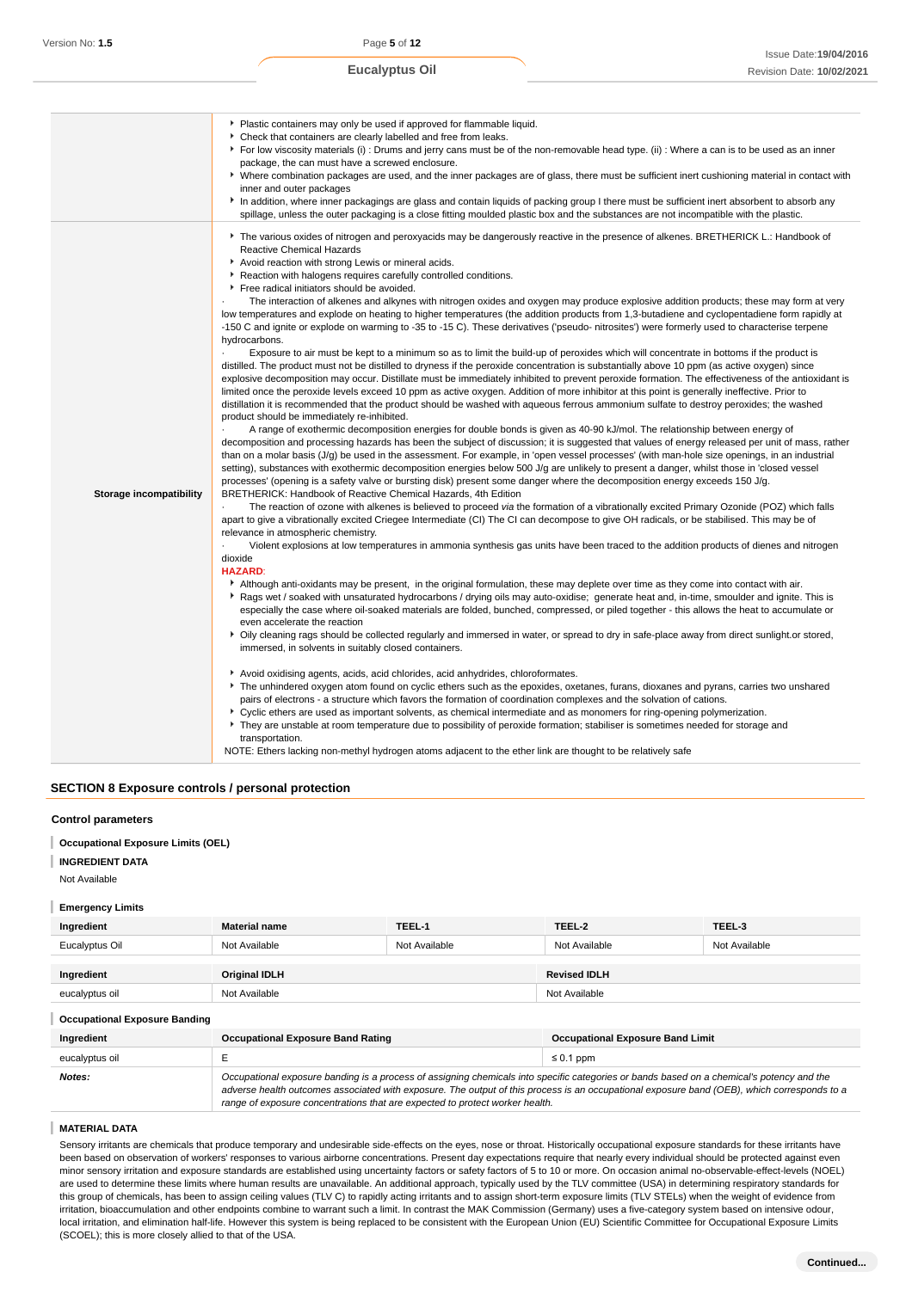|                         | • Plastic containers may only be used if approved for flammable liquid.<br>Check that containers are clearly labelled and free from leaks.<br>For low viscosity materials (i) : Drums and jerry cans must be of the non-removable head type. (ii) : Where a can is to be used as an inner<br>package, the can must have a screwed enclosure.<br>• Where combination packages are used, and the inner packages are of glass, there must be sufficient inert cushioning material in contact with<br>inner and outer packages<br>In addition, where inner packagings are glass and contain liquids of packing group I there must be sufficient inert absorbent to absorb any<br>spillage, unless the outer packaging is a close fitting moulded plastic box and the substances are not incompatible with the plastic.                                                                                                                                                                                                                                                                                                                                                                                                                                                                                                                                                                                                                                                                                                                                                                                                                                                                                                                                                                                                                                                                                                                                                                                                                                                                                                                                                                                                                                                                                                                                                                                                                                                                                                                                                                                                                                                                                                                                                                                                                                                                                                                                                                                                                                                                                                                                                                                                                                                                                                                                                                                                                                                                                                                                                                                                                                                                                                                                                                                                                                                                                                                                                                                                                                                                                                                                                                                                                                                                                                                           |
|-------------------------|----------------------------------------------------------------------------------------------------------------------------------------------------------------------------------------------------------------------------------------------------------------------------------------------------------------------------------------------------------------------------------------------------------------------------------------------------------------------------------------------------------------------------------------------------------------------------------------------------------------------------------------------------------------------------------------------------------------------------------------------------------------------------------------------------------------------------------------------------------------------------------------------------------------------------------------------------------------------------------------------------------------------------------------------------------------------------------------------------------------------------------------------------------------------------------------------------------------------------------------------------------------------------------------------------------------------------------------------------------------------------------------------------------------------------------------------------------------------------------------------------------------------------------------------------------------------------------------------------------------------------------------------------------------------------------------------------------------------------------------------------------------------------------------------------------------------------------------------------------------------------------------------------------------------------------------------------------------------------------------------------------------------------------------------------------------------------------------------------------------------------------------------------------------------------------------------------------------------------------------------------------------------------------------------------------------------------------------------------------------------------------------------------------------------------------------------------------------------------------------------------------------------------------------------------------------------------------------------------------------------------------------------------------------------------------------------------------------------------------------------------------------------------------------------------------------------------------------------------------------------------------------------------------------------------------------------------------------------------------------------------------------------------------------------------------------------------------------------------------------------------------------------------------------------------------------------------------------------------------------------------------------------------------------------------------------------------------------------------------------------------------------------------------------------------------------------------------------------------------------------------------------------------------------------------------------------------------------------------------------------------------------------------------------------------------------------------------------------------------------------------------------------------------------------------------------------------------------------------------------------------------------------------------------------------------------------------------------------------------------------------------------------------------------------------------------------------------------------------------------------------------------------------------------------------------------------------------------------------------------------------------------------------------------------------------------------------------------------|
| Storage incompatibility | The various oxides of nitrogen and peroxyacids may be dangerously reactive in the presence of alkenes. BRETHERICK L.: Handbook of<br><b>Reactive Chemical Hazards</b><br>Avoid reaction with strong Lewis or mineral acids.<br>Reaction with halogens requires carefully controlled conditions.<br>Free radical initiators should be avoided.<br>The interaction of alkenes and alkynes with nitrogen oxides and oxygen may produce explosive addition products; these may form at very<br>low temperatures and explode on heating to higher temperatures (the addition products from 1,3-butadiene and cyclopentadiene form rapidly at<br>-150 C and ignite or explode on warming to -35 to -15 C). These derivatives ('pseudo- nitrosites') were formerly used to characterise terpene<br>hydrocarbons.<br>Exposure to air must be kept to a minimum so as to limit the build-up of peroxides which will concentrate in bottoms if the product is<br>distilled. The product must not be distilled to dryness if the peroxide concentration is substantially above 10 ppm (as active oxygen) since<br>explosive decomposition may occur. Distillate must be immediately inhibited to prevent peroxide formation. The effectiveness of the antioxidant is<br>limited once the peroxide levels exceed 10 ppm as active oxygen. Addition of more inhibitor at this point is generally ineffective. Prior to<br>distillation it is recommended that the product should be washed with aqueous ferrous ammonium sulfate to destroy peroxides; the washed<br>product should be immediately re-inhibited.<br>A range of exothermic decomposition energies for double bonds is given as 40-90 kJ/mol. The relationship between energy of<br>decomposition and processing hazards has been the subject of discussion; it is suggested that values of energy released per unit of mass, rather<br>than on a molar basis (J/g) be used in the assessment. For example, in 'open vessel processes' (with man-hole size openings, in an industrial<br>setting), substances with exothermic decomposition energies below 500 J/g are unlikely to present a danger, whilst those in 'closed vessel<br>processes' (opening is a safety valve or bursting disk) present some danger where the decomposition energy exceeds 150 J/g.<br>BRETHERICK: Handbook of Reactive Chemical Hazards, 4th Edition<br>The reaction of ozone with alkenes is believed to proceed via the formation of a vibrationally excited Primary Ozonide (POZ) which falls<br>apart to give a vibrationally excited Criegee Intermediate (CI) The CI can decompose to give OH radicals, or be stabilised. This may be of<br>relevance in atmospheric chemistry.<br>$\blacksquare$<br>Violent explosions at low temperatures in ammonia synthesis gas units have been traced to the addition products of dienes and nitrogen<br>dioxide<br><b>HAZARD:</b><br>Although anti-oxidants may be present, in the original formulation, these may deplete over time as they come into contact with air.<br>▶ Rags wet / soaked with unsaturated hydrocarbons / drying oils may auto-oxidise; generate heat and, in-time, smoulder and ignite. This is<br>especially the case where oil-soaked materials are folded, bunched, compressed, or piled together - this allows the heat to accumulate or<br>even accelerate the reaction<br>• Oily cleaning rags should be collected regularly and immersed in water, or spread to dry in safe-place away from direct sunlight.or stored,<br>immersed, in solvents in suitably closed containers.<br>Avoid oxidising agents, acids, acid chlorides, acid anhydrides, chloroformates.<br>The unhindered oxygen atom found on cyclic ethers such as the epoxides, oxetanes, furans, dioxanes and pyrans, carries two unshared<br>pairs of electrons - a structure which favors the formation of coordination complexes and the solvation of cations.<br>▶ Cyclic ethers are used as important solvents, as chemical intermediate and as monomers for ring-opening polymerization.<br>They are unstable at room temperature due to possibility of peroxide formation; stabiliser is sometimes needed for storage and<br>transportation.<br>NOTE: Ethers lacking non-methyl hydrogen atoms adjacent to the ether link are thought to be relatively safe |

# **SECTION 8 Exposure controls / personal protection**

#### **Control parameters**

**Occupational Exposure Limits (OEL)** I

# **INGREDIENT DATA**

Not Available

#### **Emergency Limits**

| Ingredient     | <b>Material name</b> | TEEL-1        | TEEL-2              | TEEL-3        |
|----------------|----------------------|---------------|---------------------|---------------|
| Eucalyptus Oil | Not Available        | Not Available | Not Available       | Not Available |
| Ingredient     | <b>Original IDLH</b> |               | <b>Revised IDLH</b> |               |
| eucalyptus oil | Not Available        |               | Not Available       |               |

**Occupational Exposure Banding**

| Occupational Exposure Banding |                                                                                                                                                                                                                                                                                                                                                                          |                |  |
|-------------------------------|--------------------------------------------------------------------------------------------------------------------------------------------------------------------------------------------------------------------------------------------------------------------------------------------------------------------------------------------------------------------------|----------------|--|
| Ingredient                    | <b>Occupational Exposure Band Rating</b><br><b>Occupational Exposure Band Limit</b>                                                                                                                                                                                                                                                                                      |                |  |
| eucalyptus oil                |                                                                                                                                                                                                                                                                                                                                                                          | $\leq 0.1$ ppm |  |
| Notes:                        | Occupational exposure banding is a process of assigning chemicals into specific categories or bands based on a chemical's potency and the<br>adverse health outcomes associated with exposure. The output of this process is an occupational exposure band (OEB), which corresponds to a<br>range of exposure concentrations that are expected to protect worker health. |                |  |

#### **MATERIAL DATA**

Sensory irritants are chemicals that produce temporary and undesirable side-effects on the eyes, nose or throat. Historically occupational exposure standards for these irritants have been based on observation of workers' responses to various airborne concentrations. Present day expectations require that nearly every individual should be protected against even minor sensory irritation and exposure standards are established using uncertainty factors or safety factors of 5 to 10 or more. On occasion animal no-observable-effect-levels (NOEL) are used to determine these limits where human results are unavailable. An additional approach, typically used by the TLV committee (USA) in determining respiratory standards for this group of chemicals, has been to assign ceiling values (TLV C) to rapidly acting irritants and to assign short-term exposure limits (TLV STELs) when the weight of evidence from irritation, bioaccumulation and other endpoints combine to warrant such a limit. In contrast the MAK Commission (Germany) uses a five-category system based on intensive odour, local irritation, and elimination half-life. However this system is being replaced to be consistent with the European Union (EU) Scientific Committee for Occupational Exposure Limits (SCOEL); this is more closely allied to that of the USA.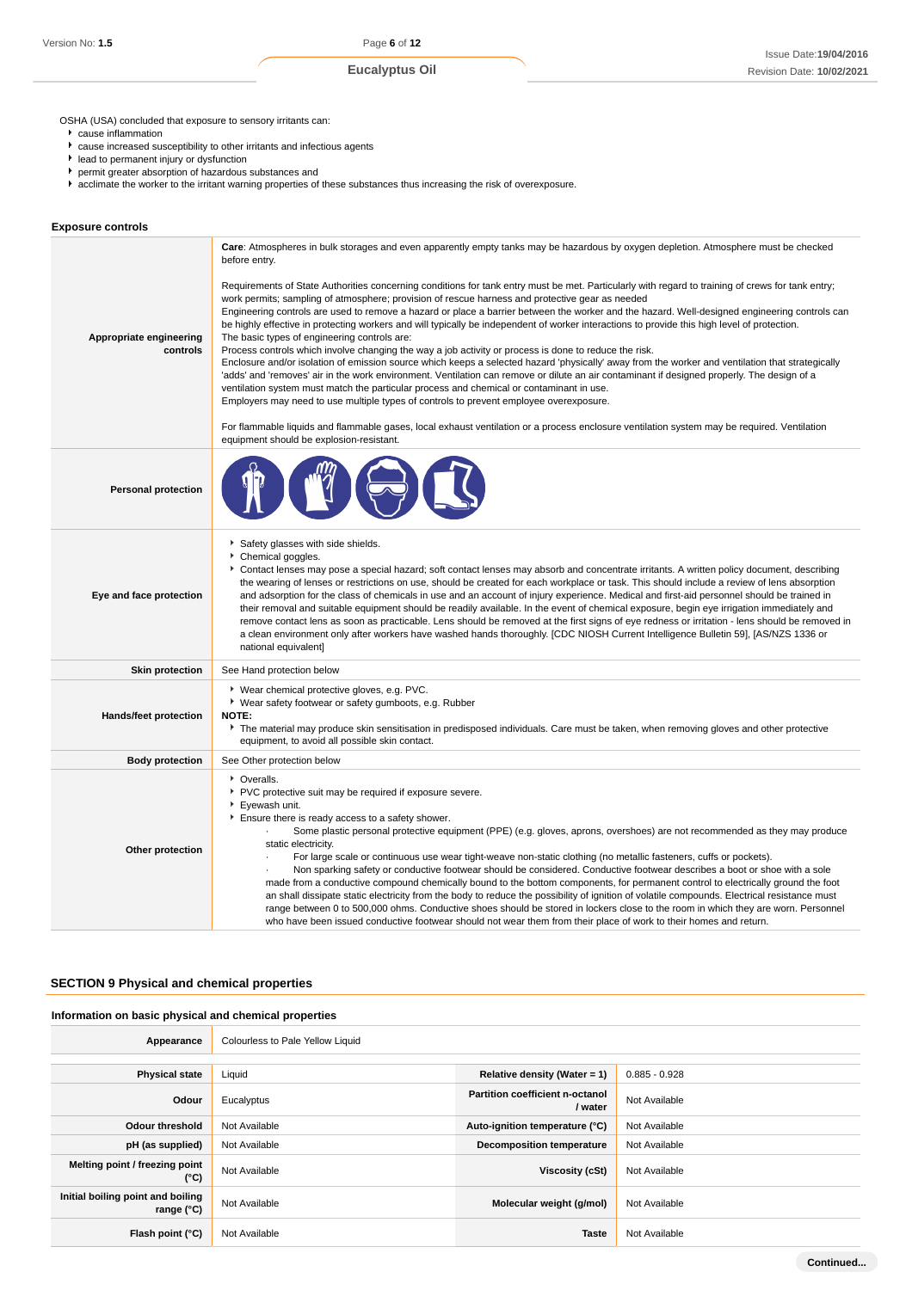OSHA (USA) concluded that exposure to sensory irritants can:

- cause inflammation
- cause increased susceptibility to other irritants and infectious agents
- lead to permanent injury or dysfunction
- permit greater absorption of hazardous substances and
- acclimate the worker to the irritant warning properties of these substances thus increasing the risk of overexposure.

# **Exposure controls**

|                                     | Care: Atmospheres in bulk storages and even apparently empty tanks may be hazardous by oxygen depletion. Atmosphere must be checked<br>before entry.                                                                                                                                                                                                                                                                                                                                                                                                                                                                                                                                                                                                                                                                                                                                                                                                                                                                                                                                                                                                                                                                                                                                                                                                   |  |  |  |  |
|-------------------------------------|--------------------------------------------------------------------------------------------------------------------------------------------------------------------------------------------------------------------------------------------------------------------------------------------------------------------------------------------------------------------------------------------------------------------------------------------------------------------------------------------------------------------------------------------------------------------------------------------------------------------------------------------------------------------------------------------------------------------------------------------------------------------------------------------------------------------------------------------------------------------------------------------------------------------------------------------------------------------------------------------------------------------------------------------------------------------------------------------------------------------------------------------------------------------------------------------------------------------------------------------------------------------------------------------------------------------------------------------------------|--|--|--|--|
| Appropriate engineering<br>controls | Requirements of State Authorities concerning conditions for tank entry must be met. Particularly with regard to training of crews for tank entry;<br>work permits; sampling of atmosphere; provision of rescue harness and protective gear as needed<br>Engineering controls are used to remove a hazard or place a barrier between the worker and the hazard. Well-designed engineering controls can<br>be highly effective in protecting workers and will typically be independent of worker interactions to provide this high level of protection.<br>The basic types of engineering controls are:<br>Process controls which involve changing the way a job activity or process is done to reduce the risk.<br>Enclosure and/or isolation of emission source which keeps a selected hazard 'physically' away from the worker and ventilation that strategically<br>'adds' and 'removes' air in the work environment. Ventilation can remove or dilute an air contaminant if designed properly. The design of a<br>ventilation system must match the particular process and chemical or contaminant in use.<br>Employers may need to use multiple types of controls to prevent employee overexposure.<br>For flammable liquids and flammable gases, local exhaust ventilation or a process enclosure ventilation system may be required. Ventilation |  |  |  |  |
|                                     | equipment should be explosion-resistant.                                                                                                                                                                                                                                                                                                                                                                                                                                                                                                                                                                                                                                                                                                                                                                                                                                                                                                                                                                                                                                                                                                                                                                                                                                                                                                               |  |  |  |  |
| <b>Personal protection</b>          |                                                                                                                                                                                                                                                                                                                                                                                                                                                                                                                                                                                                                                                                                                                                                                                                                                                                                                                                                                                                                                                                                                                                                                                                                                                                                                                                                        |  |  |  |  |
| Eye and face protection             | Safety glasses with side shields.<br>Chemical goggles.<br>Contact lenses may pose a special hazard; soft contact lenses may absorb and concentrate irritants. A written policy document, describing<br>the wearing of lenses or restrictions on use, should be created for each workplace or task. This should include a review of lens absorption<br>and adsorption for the class of chemicals in use and an account of injury experience. Medical and first-aid personnel should be trained in<br>their removal and suitable equipment should be readily available. In the event of chemical exposure, begin eye irrigation immediately and<br>remove contact lens as soon as practicable. Lens should be removed at the first signs of eye redness or irritation - lens should be removed in<br>a clean environment only after workers have washed hands thoroughly. [CDC NIOSH Current Intelligence Bulletin 59], [AS/NZS 1336 or<br>national equivalent]                                                                                                                                                                                                                                                                                                                                                                                          |  |  |  |  |
| <b>Skin protection</b>              | See Hand protection below                                                                                                                                                                                                                                                                                                                                                                                                                                                                                                                                                                                                                                                                                                                                                                                                                                                                                                                                                                                                                                                                                                                                                                                                                                                                                                                              |  |  |  |  |
| Hands/feet protection               | ▶ Wear chemical protective gloves, e.g. PVC.<br>▶ Wear safety footwear or safety gumboots, e.g. Rubber<br>NOTE:<br>The material may produce skin sensitisation in predisposed individuals. Care must be taken, when removing gloves and other protective<br>equipment, to avoid all possible skin contact.                                                                                                                                                                                                                                                                                                                                                                                                                                                                                                                                                                                                                                                                                                                                                                                                                                                                                                                                                                                                                                             |  |  |  |  |
| <b>Body protection</b>              | See Other protection below                                                                                                                                                                                                                                                                                                                                                                                                                                                                                                                                                                                                                                                                                                                                                                                                                                                                                                                                                                                                                                                                                                                                                                                                                                                                                                                             |  |  |  |  |
| Other protection                    | • Overalls.<br>PVC protective suit may be required if exposure severe.<br>Eyewash unit.<br>Ensure there is ready access to a safety shower.<br>Some plastic personal protective equipment (PPE) (e.g. gloves, aprons, overshoes) are not recommended as they may produce<br>static electricity.<br>For large scale or continuous use wear tight-weave non-static clothing (no metallic fasteners, cuffs or pockets).<br>Non sparking safety or conductive footwear should be considered. Conductive footwear describes a boot or shoe with a sole<br>made from a conductive compound chemically bound to the bottom components, for permanent control to electrically ground the foot<br>an shall dissipate static electricity from the body to reduce the possibility of ignition of volatile compounds. Electrical resistance must<br>range between 0 to 500,000 ohms. Conductive shoes should be stored in lockers close to the room in which they are worn. Personnel<br>who have been issued conductive footwear should not wear them from their place of work to their homes and return.                                                                                                                                                                                                                                                         |  |  |  |  |

# **SECTION 9 Physical and chemical properties**

### **Information on basic physical and chemical properties**

| Appearance                                        | Colourless to Pale Yellow Liquid |                                                   |                 |
|---------------------------------------------------|----------------------------------|---------------------------------------------------|-----------------|
|                                                   |                                  |                                                   |                 |
| <b>Physical state</b>                             | Liquid                           | Relative density (Water = 1)                      | $0.885 - 0.928$ |
| Odour                                             | Eucalyptus                       | <b>Partition coefficient n-octanol</b><br>/ water | Not Available   |
| Odour threshold                                   | Not Available                    | Auto-ignition temperature (°C)                    | Not Available   |
| pH (as supplied)                                  | Not Available                    | <b>Decomposition temperature</b>                  | Not Available   |
| Melting point / freezing point<br>(°C)            | Not Available                    | Viscosity (cSt)                                   | Not Available   |
| Initial boiling point and boiling<br>range $(°C)$ | Not Available                    | Molecular weight (g/mol)                          | Not Available   |
| Flash point $(°C)$                                | Not Available                    | <b>Taste</b>                                      | Not Available   |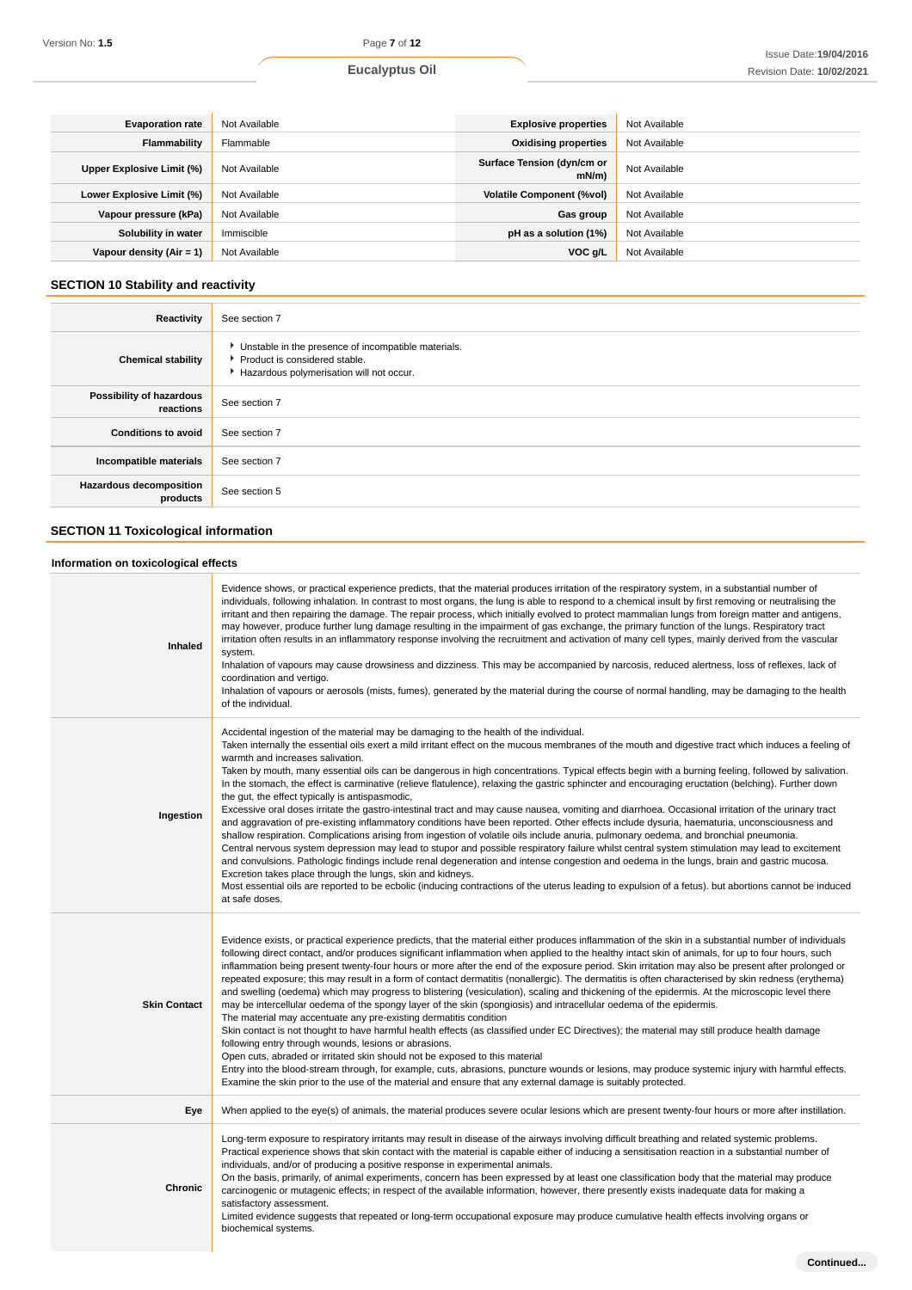| <b>Evaporation rate</b>    | Not Available | <b>Explosive properties</b>            | Not Available |
|----------------------------|---------------|----------------------------------------|---------------|
| Flammability               | Flammable     | <b>Oxidising properties</b>            | Not Available |
| Upper Explosive Limit (%)  | Not Available | Surface Tension (dyn/cm or<br>$mN/m$ ) | Not Available |
| Lower Explosive Limit (%)  | Not Available | <b>Volatile Component (%vol)</b>       | Not Available |
| Vapour pressure (kPa)      | Not Available | Gas group                              | Not Available |
| Solubility in water        | Immiscible    | pH as a solution (1%)                  | Not Available |
| Vapour density $(Air = 1)$ | Not Available | VOC g/L                                | Not Available |

# **SECTION 10 Stability and reactivity**

| <b>Reactivity</b>                          | See section 7                                                                                                                    |
|--------------------------------------------|----------------------------------------------------------------------------------------------------------------------------------|
| <b>Chemical stability</b>                  | Unstable in the presence of incompatible materials.<br>Product is considered stable.<br>Hazardous polymerisation will not occur. |
| Possibility of hazardous<br>reactions      | See section 7                                                                                                                    |
| <b>Conditions to avoid</b>                 | See section 7                                                                                                                    |
| Incompatible materials                     | See section 7                                                                                                                    |
| <b>Hazardous decomposition</b><br>products | See section 5                                                                                                                    |

# **SECTION 11 Toxicological information**

# **Information on toxicological effects**

| Inhaled             | Evidence shows, or practical experience predicts, that the material produces irritation of the respiratory system, in a substantial number of<br>individuals, following inhalation. In contrast to most organs, the lung is able to respond to a chemical insult by first removing or neutralising the<br>irritant and then repairing the damage. The repair process, which initially evolved to protect mammalian lungs from foreign matter and antigens,<br>may however, produce further lung damage resulting in the impairment of gas exchange, the primary function of the lungs. Respiratory tract<br>irritation often results in an inflammatory response involving the recruitment and activation of many cell types, mainly derived from the vascular<br>system.<br>Inhalation of vapours may cause drowsiness and dizziness. This may be accompanied by narcosis, reduced alertness, loss of reflexes, lack of<br>coordination and vertigo.<br>Inhalation of vapours or aerosols (mists, fumes), generated by the material during the course of normal handling, may be damaging to the health<br>of the individual.                                                                                                                                                                                                                                                                                                                                                                                                                                                                                                        |
|---------------------|---------------------------------------------------------------------------------------------------------------------------------------------------------------------------------------------------------------------------------------------------------------------------------------------------------------------------------------------------------------------------------------------------------------------------------------------------------------------------------------------------------------------------------------------------------------------------------------------------------------------------------------------------------------------------------------------------------------------------------------------------------------------------------------------------------------------------------------------------------------------------------------------------------------------------------------------------------------------------------------------------------------------------------------------------------------------------------------------------------------------------------------------------------------------------------------------------------------------------------------------------------------------------------------------------------------------------------------------------------------------------------------------------------------------------------------------------------------------------------------------------------------------------------------------------------------------------------------------------------------------------------------|
| Ingestion           | Accidental ingestion of the material may be damaging to the health of the individual.<br>Taken internally the essential oils exert a mild irritant effect on the mucous membranes of the mouth and digestive tract which induces a feeling of<br>warmth and increases salivation.<br>Taken by mouth, many essential oils can be dangerous in high concentrations. Typical effects begin with a burning feeling, followed by salivation.<br>In the stomach, the effect is carminative (relieve flatulence), relaxing the gastric sphincter and encouraging eructation (belching). Further down<br>the gut, the effect typically is antispasmodic,<br>Excessive oral doses irritate the gastro-intestinal tract and may cause nausea, vomiting and diarrhoea. Occasional irritation of the urinary tract<br>and aggravation of pre-existing inflammatory conditions have been reported. Other effects include dysuria, haematuria, unconsciousness and<br>shallow respiration. Complications arising from ingestion of volatile oils include anuria, pulmonary oedema, and bronchial pneumonia.<br>Central nervous system depression may lead to stupor and possible respiratory failure whilst central system stimulation may lead to excitement<br>and convulsions. Pathologic findings include renal degeneration and intense congestion and oedema in the lungs, brain and gastric mucosa.<br>Excretion takes place through the lungs, skin and kidneys.<br>Most essential oils are reported to be ecbolic (inducing contractions of the uterus leading to expulsion of a fetus). but abortions cannot be induced<br>at safe doses. |
| <b>Skin Contact</b> | Evidence exists, or practical experience predicts, that the material either produces inflammation of the skin in a substantial number of individuals<br>following direct contact, and/or produces significant inflammation when applied to the healthy intact skin of animals, for up to four hours, such<br>inflammation being present twenty-four hours or more after the end of the exposure period. Skin irritation may also be present after prolonged or<br>repeated exposure; this may result in a form of contact dermatitis (nonallergic). The dermatitis is often characterised by skin redness (erythema)<br>and swelling (oedema) which may progress to blistering (vesiculation), scaling and thickening of the epidermis. At the microscopic level there<br>may be intercellular oedema of the spongy layer of the skin (spongiosis) and intracellular oedema of the epidermis.<br>The material may accentuate any pre-existing dermatitis condition<br>Skin contact is not thought to have harmful health effects (as classified under EC Directives); the material may still produce health damage<br>following entry through wounds, lesions or abrasions.<br>Open cuts, abraded or irritated skin should not be exposed to this material<br>Entry into the blood-stream through, for example, cuts, abrasions, puncture wounds or lesions, may produce systemic injury with harmful effects.<br>Examine the skin prior to the use of the material and ensure that any external damage is suitably protected.                                                                                                        |
| Eye                 | When applied to the eye(s) of animals, the material produces severe ocular lesions which are present twenty-four hours or more after instillation.                                                                                                                                                                                                                                                                                                                                                                                                                                                                                                                                                                                                                                                                                                                                                                                                                                                                                                                                                                                                                                                                                                                                                                                                                                                                                                                                                                                                                                                                                    |
| <b>Chronic</b>      | Long-term exposure to respiratory irritants may result in disease of the airways involving difficult breathing and related systemic problems.<br>Practical experience shows that skin contact with the material is capable either of inducing a sensitisation reaction in a substantial number of<br>individuals, and/or of producing a positive response in experimental animals.<br>On the basis, primarily, of animal experiments, concern has been expressed by at least one classification body that the material may produce<br>carcinogenic or mutagenic effects; in respect of the available information, however, there presently exists inadequate data for making a<br>satisfactory assessment.<br>Limited evidence suggests that repeated or long-term occupational exposure may produce cumulative health effects involving organs or<br>biochemical systems.                                                                                                                                                                                                                                                                                                                                                                                                                                                                                                                                                                                                                                                                                                                                                            |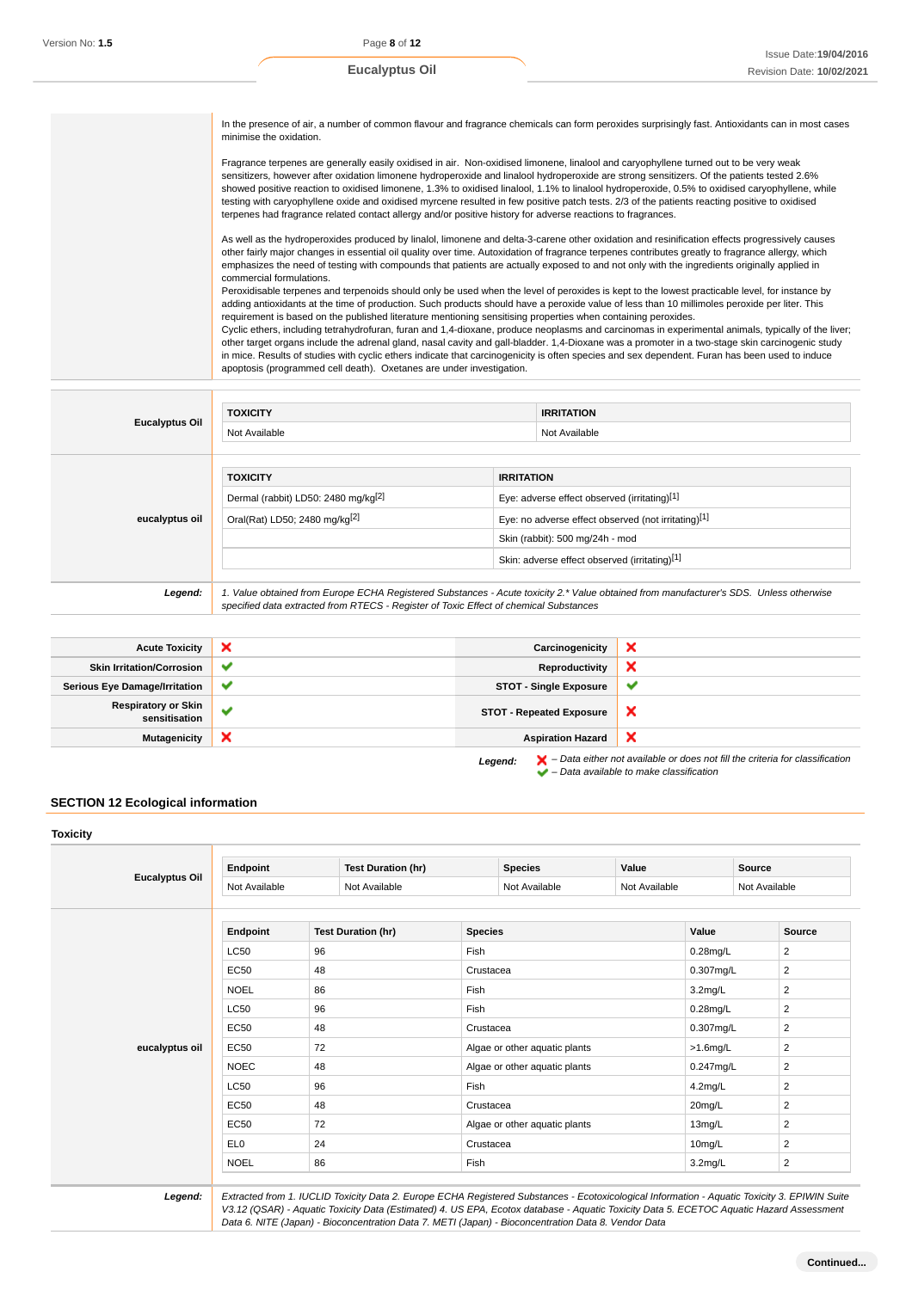In the presence of air, a number of common flavour and fragrance chemicals can form peroxides surprisingly fast. Antioxidants can in most cases minimise the oxidation.

Fragrance terpenes are generally easily oxidised in air. Non-oxidised limonene, linalool and caryophyllene turned out to be very weak sensitizers, however after oxidation limonene hydroperoxide and linalool hydroperoxide are strong sensitizers. Of the patients tested 2.6% showed positive reaction to oxidised limonene, 1.3% to oxidised linalool, 1.1% to linalool hydroperoxide, 0.5% to oxidised caryophyllene, while testing with caryophyllene oxide and oxidised myrcene resulted in few positive patch tests. 2/3 of the patients reacting positive to oxidised terpenes had fragrance related contact allergy and/or positive history for adverse reactions to fragrances.

As well as the hydroperoxides produced by linalol, limonene and delta-3-carene other oxidation and resinification effects progressively causes other fairly major changes in essential oil quality over time. Autoxidation of fragrance terpenes contributes greatly to fragrance allergy, which emphasizes the need of testing with compounds that patients are actually exposed to and not only with the ingredients originally applied in commercial formulations.

Peroxidisable terpenes and terpenoids should only be used when the level of peroxides is kept to the lowest practicable level, for instance by adding antioxidants at the time of production. Such products should have a peroxide value of less than 10 millimoles peroxide per liter. This requirement is based on the published literature mentioning sensitising properties when containing peroxides.

Cyclic ethers, including tetrahydrofuran, furan and 1,4-dioxane, produce neoplasms and carcinomas in experimental animals, typically of the liver; other target organs include the adrenal gland, nasal cavity and gall-bladder. 1,4-Dioxane was a promoter in a two-stage skin carcinogenic study in mice. Results of studies with cyclic ethers indicate that carcinogenicity is often species and sex dependent. Furan has been used to induce apoptosis (programmed cell death). Oxetanes are under investigation.

 $\blacktriangleright$  – Data available to make classification

|                       | <b>TOXICITY</b>                                                                       |                                                     | <b>IRRITATION</b>                                                                                                                      |  |  |
|-----------------------|---------------------------------------------------------------------------------------|-----------------------------------------------------|----------------------------------------------------------------------------------------------------------------------------------------|--|--|
| <b>Eucalyptus Oil</b> | Not Available                                                                         |                                                     | Not Available                                                                                                                          |  |  |
|                       |                                                                                       |                                                     |                                                                                                                                        |  |  |
|                       |                                                                                       |                                                     |                                                                                                                                        |  |  |
| eucalyptus oil        | <b>TOXICITY</b>                                                                       |                                                     | <b>IRRITATION</b>                                                                                                                      |  |  |
|                       | Dermal (rabbit) LD50: 2480 mg/kg <sup>[2]</sup>                                       | Eye: adverse effect observed (irritating)[1]        |                                                                                                                                        |  |  |
|                       | Oral(Rat) LD50; 2480 mg/kg <sup>[2]</sup>                                             | Eye: no adverse effect observed (not irritating)[1] |                                                                                                                                        |  |  |
|                       |                                                                                       |                                                     | Skin (rabbit): 500 mg/24h - mod                                                                                                        |  |  |
|                       |                                                                                       |                                                     | Skin: adverse effect observed (irritating)[1]                                                                                          |  |  |
|                       |                                                                                       |                                                     |                                                                                                                                        |  |  |
| Legend:               |                                                                                       |                                                     | 1. Value obtained from Europe ECHA Registered Substances - Acute toxicity 2.* Value obtained from manufacturer's SDS. Unless otherwise |  |  |
|                       | specified data extracted from RTECS - Register of Toxic Effect of chemical Substances |                                                     |                                                                                                                                        |  |  |

| <b>Acute Toxicity</b>                       | ×            | Carcinogenicity                 | ◠                                                                                                  |
|---------------------------------------------|--------------|---------------------------------|----------------------------------------------------------------------------------------------------|
| <b>Skin Irritation/Corrosion</b>            | $\checkmark$ | Reproductivity                  | ×                                                                                                  |
| <b>Serious Eye Damage/Irritation</b>        | $\checkmark$ | <b>STOT - Single Exposure</b>   | ◡                                                                                                  |
| <b>Respiratory or Skin</b><br>sensitisation | $\checkmark$ | <b>STOT - Repeated Exposure</b> | ×                                                                                                  |
| <b>Mutagenicity</b>                         | ×            | <b>Aspiration Hazard</b>        | ᄌ                                                                                                  |
|                                             |              | Legend:                         | $\blacktriangleright$ – Data either not available or does not fill the criteria for classification |

# **SECTION 12 Ecological information**

|                       | Endpoint        | <b>Test Duration (hr)</b> |                | <b>Species</b>                | Value         |              | <b>Source</b>  |
|-----------------------|-----------------|---------------------------|----------------|-------------------------------|---------------|--------------|----------------|
| <b>Eucalyptus Oil</b> | Not Available   | Not Available             |                | Not Available                 | Not Available |              | Not Available  |
|                       | Endpoint        | <b>Test Duration (hr)</b> | <b>Species</b> |                               |               | Value        | Source         |
|                       | <b>LC50</b>     | 96                        | Fish           |                               |               | $0.28$ mg/L  | 2              |
|                       | EC50            | 48                        | Crustacea      |                               |               | $0.307$ mg/L | 2              |
|                       | <b>NOEL</b>     | 86                        | Fish           |                               |               | $3.2$ mg/L   | 2              |
|                       | <b>LC50</b>     | 96                        | Fish           |                               |               | $0.28$ mg/L  | 2              |
|                       | EC50            | 48                        | Crustacea      |                               |               | 0.307mg/L    | 2              |
| eucalyptus oil        | EC50            | 72                        |                | Algae or other aquatic plants |               | $>1.6$ mg/L  | $\overline{2}$ |
|                       | <b>NOEC</b>     | 48                        |                | Algae or other aquatic plants |               | 0.247mg/L    | $\overline{2}$ |
|                       | <b>LC50</b>     | 96                        | Fish           |                               |               |              | $\overline{2}$ |
|                       | EC50            | 48                        |                | Crustacea                     |               | 20mg/L       | 2              |
|                       | EC50            | 72                        |                | Algae or other aquatic plants |               | 13mg/L       | $\overline{2}$ |
|                       | EL <sub>0</sub> | 24                        |                | Crustacea                     |               | 10mg/L       | $\overline{2}$ |
|                       | <b>NOEL</b>     | 86                        | Fish           |                               |               | $3.2$ mg/L   | $\overline{2}$ |

Data 6. NITE (Japan) - Bioconcentration Data 7. METI (Japan) - Bioconcentration Data 8. Vendor Data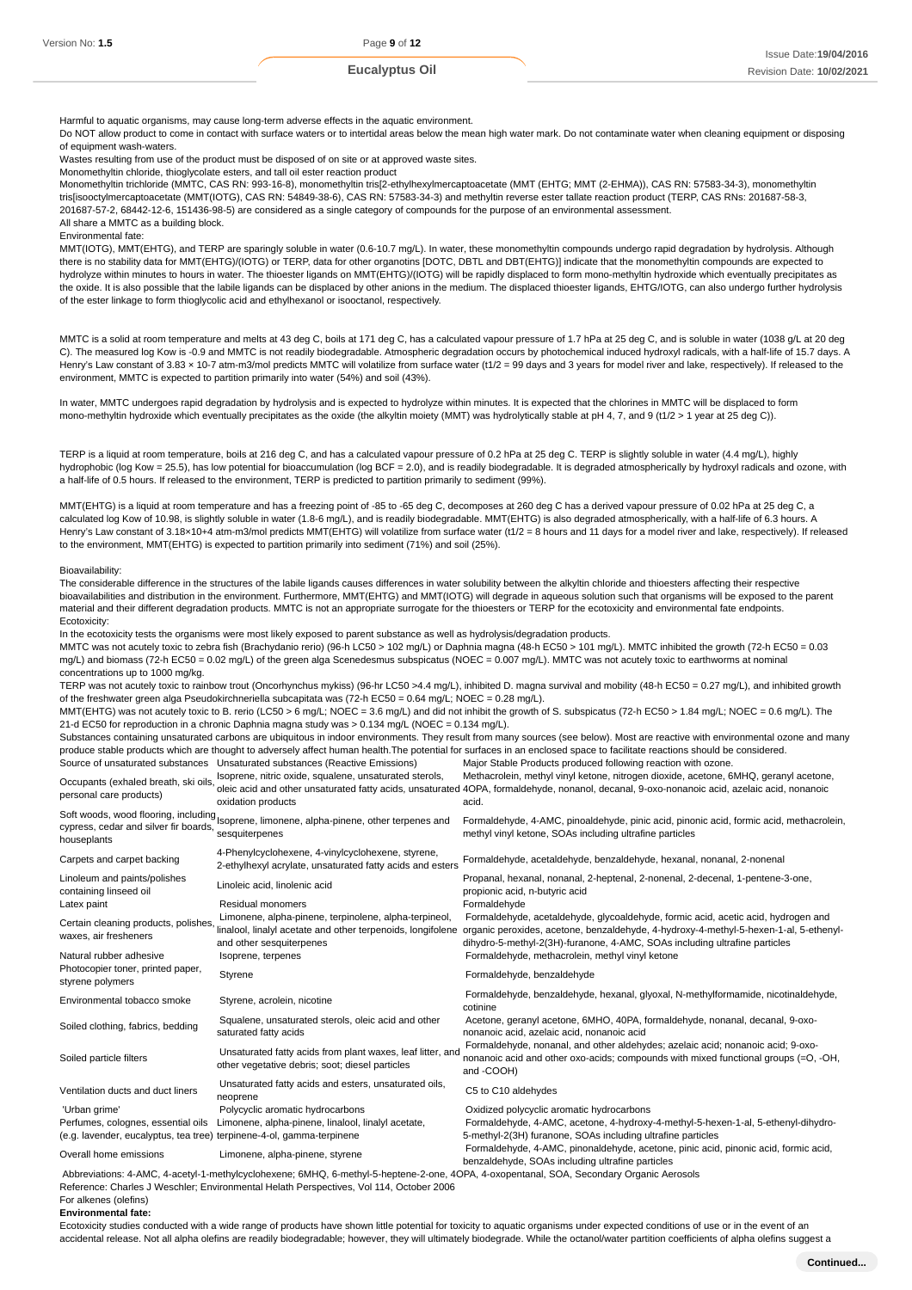Harmful to aquatic organisms, may cause long-term adverse effects in the aquatic environment.

Do NOT allow product to come in contact with surface waters or to intertidal areas below the mean high water mark. Do not contaminate water when cleaning equipment or disposing of equipment wash-waters.

Wastes resulting from use of the product must be disposed of on site or at approved waste sites.

Monomethyltin chloride, thioglycolate esters, and tall oil ester reaction product

Monomethyltin trichloride (MMTC, CAS RN: 993-16-8), monomethyltin tris[2-ethylhexylmercaptoacetate (MMT (EHTG; MMT (2-EHMA)), CAS RN: 57583-34-3), monomethyltin tris[isooctylmercaptoacetate (MMT(IOTG), CAS RN: 54849-38-6), CAS RN: 57583-34-3) and methyltin reverse ester tallate reaction product (TERP, CAS RNs: 201687-58-3, 201687-57-2, 68442-12-6, 151436-98-5) are considered as a single category of compounds for the purpose of an environmental assessment. All share a MMTC as a building block.

Environmental fate:

MMT(IOTG), MMT(EHTG), and TERP are sparingly soluble in water (0.6-10.7 mg/L). In water, these monomethyltin compounds undergo rapid degradation by hydrolysis. Although there is no stability data for MMT(EHTG)/(IOTG) or TERP, data for other organotins [DOTC, DBTL and DBT(EHTG)] indicate that the monomethyltin compounds are expected to hydrolyze within minutes to hours in water. The thioester ligands on MMT(EHTG)/(IOTG) will be rapidly displaced to form mono-methyltin hydroxide which eventually precipitates as the oxide. It is also possible that the labile ligands can be displaced by other anions in the medium. The displaced thioester ligands, EHTG/IOTG, can also undergo further hydrolysis of the ester linkage to form thioglycolic acid and ethylhexanol or isooctanol, respectively.

MMTC is a solid at room temperature and melts at 43 deg C, boils at 171 deg C, has a calculated vapour pressure of 1.7 hPa at 25 deg C, and is soluble in water (1038 g/L at 20 deg C). The measured log Kow is -0.9 and MMTC is not readily biodegradable. Atmospheric degradation occurs by photochemical induced hydroxyl radicals, with a half-life of 15.7 days. A Henry's Law constant of 3.83 × 10-7 atm-m3/mol predicts MMTC will volatilize from surface water (t1/2 = 99 days and 3 years for model river and lake, respectively). If released to the environment, MMTC is expected to partition primarily into water (54%) and soil (43%).

In water, MMTC undergoes rapid degradation by hydrolysis and is expected to hydrolyze within minutes. It is expected that the chlorines in MMTC will be displaced to form mono-methyltin hydroxide which eventually precipitates as the oxide (the alkyltin moiety (MMT) was hydrolytically stable at pH 4, 7, and 9 (t1/2 > 1 year at 25 deg C)).

TERP is a liquid at room temperature, boils at 216 deg C, and has a calculated vapour pressure of 0.2 hPa at 25 deg C. TERP is slightly soluble in water (4.4 mg/L), highly hydrophobic (log Kow = 25.5), has low potential for bioaccumulation (log BCF = 2.0), and is readily biodegradable. It is degraded atmospherically by hydroxyl radicals and ozone, with a half-life of 0.5 hours. If released to the environment, TERP is predicted to partition primarily to sediment (99%).

MMT(EHTG) is a liquid at room temperature and has a freezing point of -85 to -65 deg C, decomposes at 260 deg C has a derived vapour pressure of 0.02 hPa at 25 deg C, a calculated log Kow of 10.98, is slightly soluble in water (1.8-6 mg/L), and is readily biodegradable. MMT(EHTG) is also degraded atmospherically, with a half-life of 6.3 hours. A Henry's Law constant of 3.18×10+4 atm-m3/mol predicts MMT(EHTG) will volatilize from surface water (t1/2 = 8 hours and 11 days for a model river and lake, respectively). If released to the environment, MMT(EHTG) is expected to partition primarily into sediment (71%) and soil (25%).

#### Bioavailability:

The considerable difference in the structures of the labile ligands causes differences in water solubility between the alkyltin chloride and thioesters affecting their respective bioavailabilities and distribution in the environment. Furthermore, MMT(EHTG) and MMT(IOTG) will degrade in aqueous solution such that organisms will be exposed to the parent material and their different degradation products. MMTC is not an appropriate surrogate for the thioesters or TERP for the ecotoxicity and environmental fate endpoints. Ecotoxicity: In the ecotoxicity tests the organisms were most likely exposed to parent substance as well as hydrolysis/degradation products. MMTC was not acutely toxic to zebra fish (Brachydanio rerio) (96-h LC50 > 102 mg/L) or Daphnia magna (48-h EC50 > 101 mg/L). MMTC inhibited the growth (72-h EC50 = 0.03 mg/L) and biomass (72-h EC50 = 0.02 mg/L) of the green alga Scenedesmus subspicatus (NOEC = 0.007 mg/L). MMTC was not acutely toxic to earthworms at nominal concentrations up to 1000 mg/kg. TERP was not acutely toxic to rainbow trout (Oncorhynchus mykiss) (96-hr LC50 >4.4 mg/L), inhibited D. magna survival and mobility (48-h EC50 = 0.27 mg/L), and inhibited growth of the freshwater green alga Pseudokirchneriella subcapitata was (72-h EC50 = 0.64 mg/L; NOEC = 0.28 mg/L). MMT(EHTG) was not acutely toxic to B. rerio (LC50 > 6 mg/L; NOEC = 3.6 mg/L) and did not inhibit the growth of S. subspicatus (72-h EC50 > 1.84 mg/L; NOEC = 0.6 mg/L). The 21-d EC50 for reproduction in a chronic Daphnia magna study was > 0.134 mg/L (NOEC = 0.134 mg/L). Substances containing unsaturated carbons are ubiquitous in indoor environments. They result from many sources (see below). Most are reactive with environmental ozone and many

produce stable products which are thought to adversely affect human health.The potential for surfaces in an enclosed space to facilitate reactions should be considered.<br>Source of unsaturated substances Unsaturated substanc Source of unsaturated substances Unsaturated substances (Reactive Emissions) Methacrolein, methyl vinyl ketone, nitrogen dioxide, acetone, 6MHQ, geranyl acetone,

| Occupants (exhaled breath, ski oils,<br>personal care products)                                             | Isoprene, nitric oxide, squalene, unsaturated sterols,<br>oxidation products                                                                                                                                                         | Methacrolein, methyl vinyl ketone, nitrogen dioxide, acetone, 6MHQ, geranyl acetone,<br>oleic acid and other unsaturated fatty acids, unsaturated 4OPA, formaldehyde, nonanol, decanal, 9-oxo-nonanoic acid, azelaic acid, nonanoic<br>acid.             |
|-------------------------------------------------------------------------------------------------------------|--------------------------------------------------------------------------------------------------------------------------------------------------------------------------------------------------------------------------------------|----------------------------------------------------------------------------------------------------------------------------------------------------------------------------------------------------------------------------------------------------------|
| cypress, cedar and silver fir boards,<br>houseplants                                                        | Soft woods, wood flooring, including<br>soprene, limonene, alpha-pinene, other terpenes and<br>sesquiterpenes                                                                                                                        | Formaldehyde, 4-AMC, pinoaldehyde, pinic acid, pinonic acid, formic acid, methacrolein,<br>methyl vinyl ketone, SOAs including ultrafine particles                                                                                                       |
| Carpets and carpet backing                                                                                  | 4-Phenylcyclohexene, 4-vinylcyclohexene, styrene,<br>2-ethylhexyl acrylate, unsaturated fatty acids and esters                                                                                                                       | Formaldehyde, acetaldehyde, benzaldehyde, hexanal, nonanal, 2-nonenal                                                                                                                                                                                    |
| Linoleum and paints/polishes<br>containing linseed oil                                                      | Linoleic acid, linolenic acid                                                                                                                                                                                                        | Propanal, hexanal, nonanal, 2-heptenal, 2-nonenal, 2-decenal, 1-pentene-3-one,<br>propionic acid, n-butyric acid                                                                                                                                         |
| Latex paint                                                                                                 | Residual monomers                                                                                                                                                                                                                    | Formaldehyde                                                                                                                                                                                                                                             |
| Certain cleaning products, polishes<br>waxes, air fresheners                                                | Limonene, alpha-pinene, terpinolene, alpha-terpineol,<br>linalool, linalyl acetate and other terpenoids, longifolene<br>and other sesquiterpenes                                                                                     | Formaldehyde, acetaldehyde, glycoaldehyde, formic acid, acetic acid, hydrogen and<br>organic peroxides, acetone, benzaldehyde, 4-hydroxy-4-methyl-5-hexen-1-al, 5-ethenyl-<br>dihydro-5-methyl-2(3H)-furanone, 4-AMC, SOAs including ultrafine particles |
| Natural rubber adhesive                                                                                     | Isoprene, terpenes                                                                                                                                                                                                                   | Formaldehyde, methacrolein, methyl vinyl ketone                                                                                                                                                                                                          |
| Photocopier toner, printed paper,<br>styrene polymers                                                       | Styrene                                                                                                                                                                                                                              | Formaldehyde, benzaldehyde                                                                                                                                                                                                                               |
| Environmental tobacco smoke                                                                                 | Styrene, acrolein, nicotine                                                                                                                                                                                                          | Formaldehyde, benzaldehyde, hexanal, glyoxal, N-methylformamide, nicotinaldehyde,<br>cotinine                                                                                                                                                            |
| Soiled clothing, fabrics, bedding                                                                           | Squalene, unsaturated sterols, oleic acid and other<br>saturated fatty acids                                                                                                                                                         | Acetone, geranyl acetone, 6MHO, 40PA, formaldehyde, nonanal, decanal, 9-oxo-<br>nonanoic acid, azelaic acid, nonanoic acid                                                                                                                               |
| Soiled particle filters                                                                                     | Unsaturated fatty acids from plant waxes, leaf litter, and<br>other vegetative debris; soot; diesel particles                                                                                                                        | Formaldehyde, nonanal, and other aldehydes; azelaic acid; nonanoic acid; 9-oxo-<br>nonanoic acid and other oxo-acids; compounds with mixed functional groups (=O, -OH,<br>and -COOH)                                                                     |
| Ventilation ducts and duct liners                                                                           | Unsaturated fatty acids and esters, unsaturated oils,<br>neoprene                                                                                                                                                                    | C5 to C10 aldehydes                                                                                                                                                                                                                                      |
| 'Urban grime'                                                                                               | Polycyclic aromatic hydrocarbons                                                                                                                                                                                                     | Oxidized polycyclic aromatic hydrocarbons                                                                                                                                                                                                                |
| Perfumes, colognes, essential oils<br>(e.g. lavender, eucalyptus, tea tree) terpinene-4-ol, gamma-terpinene | Limonene, alpha-pinene, linalool, linalyl acetate,                                                                                                                                                                                   | Formaldehyde, 4-AMC, acetone, 4-hydroxy-4-methyl-5-hexen-1-al, 5-ethenyl-dihydro-<br>5-methyl-2(3H) furanone, SOAs including ultrafine particles                                                                                                         |
| Overall home emissions                                                                                      | Limonene, alpha-pinene, styrene                                                                                                                                                                                                      | Formaldehyde, 4-AMC, pinonaldehyde, acetone, pinic acid, pinonic acid, formic acid,<br>benzaldehyde, SOAs including ultrafine particles                                                                                                                  |
|                                                                                                             | Abbreviations: 4-AMC, 4-acetyl-1-methylcyclohexene; 6MHQ, 6-methyl-5-heptene-2-one, 4OPA, 4-oxopentanal, SOA, Secondary Organic Aerosols<br>Reference: Charles J Weschler: Environmental Helath Perspectives, Vol. 114, October 2006 |                                                                                                                                                                                                                                                          |

Reference: Charles J Weschler; Environmental Helath Perspectives, Vol 114, October 2006 For alkenes (olefins)

## **Environmental fate:**

Ecotoxicity studies conducted with a wide range of products have shown little potential for toxicity to aquatic organisms under expected conditions of use or in the event of an accidental release. Not all alpha olefins are readily biodegradable; however, they will ultimately biodegrade. While the octanol/water partition coefficients of alpha olefins suggest a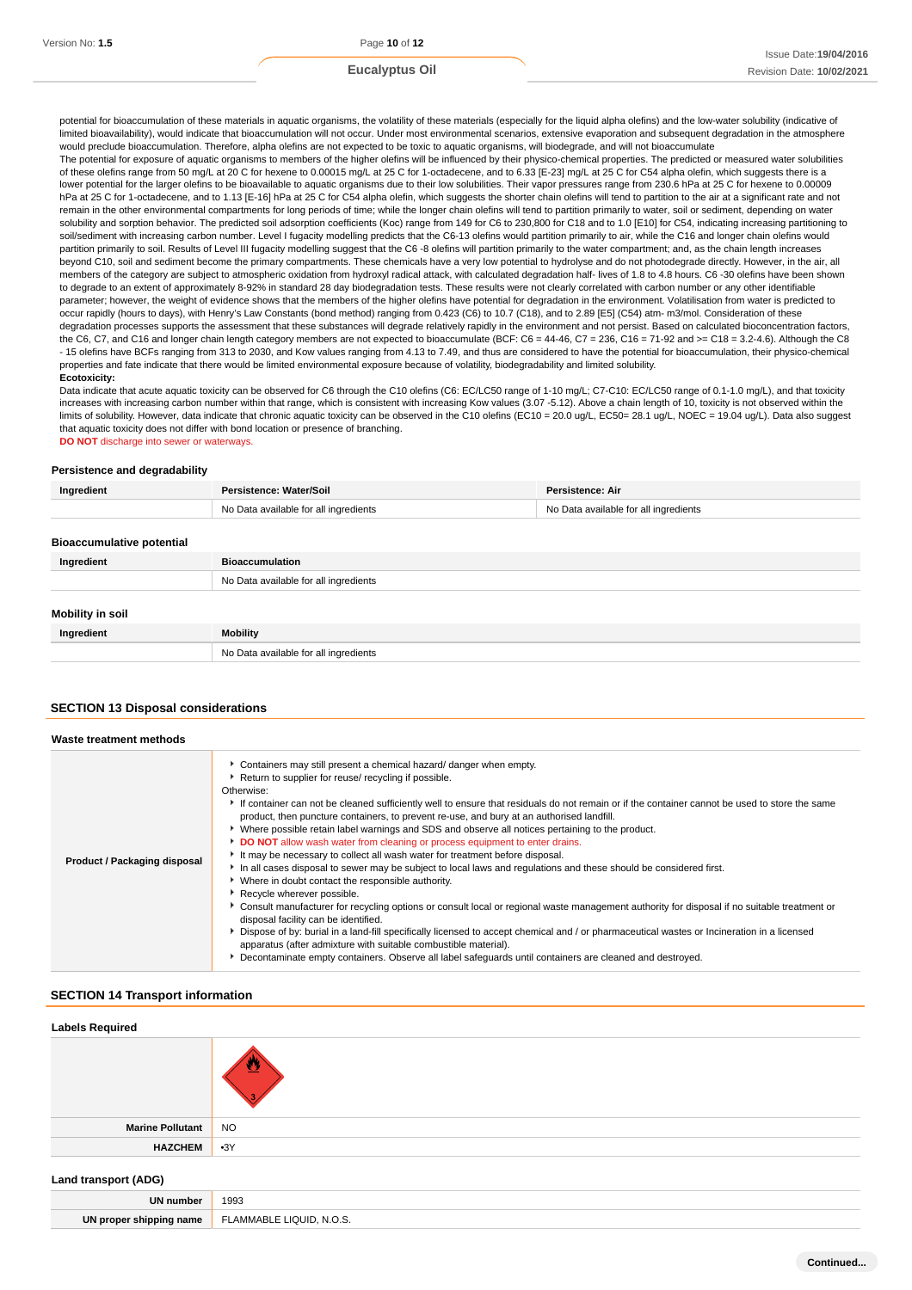potential for bioaccumulation of these materials in aquatic organisms, the volatility of these materials (especially for the liquid alpha olefins) and the low-water solubility (indicative of limited bioavailability), would indicate that bioaccumulation will not occur. Under most environmental scenarios, extensive evaporation and subsequent degradation in the atmosphere would preclude bioaccumulation. Therefore, alpha olefins are not expected to be toxic to aquatic organisms, will biodegrade, and will not bioaccumulate

The potential for exposure of aquatic organisms to members of the higher olefins will be influenced by their physico-chemical properties. The predicted or measured water solubilities of these olefins range from 50 mg/L at 20 C for hexene to 0.00015 mg/L at 25 C for 1-octadecene, and to 6.33 [E-23] mg/L at 25 C for C54 alpha olefin, which suggests there is a lower potential for the larger olefins to be bioavailable to aquatic organisms due to their low solubilities. Their vapor pressures range from 230.6 hPa at 25 C for hexene to 0.00009 hPa at 25 C for 1-octadecene, and to 1.13 [E-16] hPa at 25 C for C54 alpha olefin, which suggests the shorter chain olefins will tend to partition to the air at a significant rate and not remain in the other environmental compartments for long periods of time; while the longer chain olefins will tend to partition primarily to water, soil or sediment, depending on water solubility and sorption behavior. The predicted soil adsorption coefficients (Koc) range from 149 for C6 to 230,800 for C18 and to 1.0 [E10] for C54, indicating increasing partitioning to soil/sediment with increasing carbon number. Level I fugacity modelling predicts that the C6-13 olefins would partition primarily to air, while the C16 and longer chain olefins would partition primarily to soil. Results of Level III fugacity modelling suggest that the C6 -8 olefins will partition primarily to the water compartment; and, as the chain length increases beyond C10, soil and sediment become the primary compartments. These chemicals have a very low potential to hydrolyse and do not photodegrade directly. However, in the air, all members of the category are subject to atmospheric oxidation from hydroxyl radical attack, with calculated degradation half- lives of 1.8 to 4.8 hours. C6 -30 olefins have been shown to degrade to an extent of approximately 8-92% in standard 28 day biodegradation tests. These results were not clearly correlated with carbon number or any other identifiable parameter; however, the weight of evidence shows that the members of the higher olefins have potential for degradation in the environment. Volatilisation from water is predicted to occur rapidly (hours to days), with Henry's Law Constants (bond method) ranging from 0.423 (C6) to 10.7 (C18), and to 2.89 [E5] (C54) atm- m3/mol. Consideration of these degradation processes supports the assessment that these substances will degrade relatively rapidly in the environment and not persist. Based on calculated bioconcentration factors, the C6, C7, and C16 and longer chain length category members are not expected to bioaccumulate (BCF: C6 = 44-46, C7 = 236, C16 = 71-92 and >= C18 = 3.2-4.6). Although the C8 - 15 olefins have BCFs ranging from 313 to 2030, and Kow values ranging from 4.13 to 7.49, and thus are considered to have the potential for bioaccumulation, their physico-chemical properties and fate indicate that there would be limited environmental exposure because of volatility, biodegradability and limited solubility.

#### **Ecotoxicity:**

Data indicate that acute aquatic toxicity can be observed for C6 through the C10 olefins (C6: EC/LC50 range of 1-10 mg/L; C7-C10: EC/LC50 range of 0.1-1.0 mg/L), and that toxicity increases with increasing carbon number within that range, which is consistent with increasing Kow values (3.07 -5.12). Above a chain length of 10, toxicity is not observed within the limits of solubility. However, data indicate that chronic aquatic toxicity can be observed in the C10 olefins (EC10 = 20.0 ug/L, EC50= 28.1 ug/L, NOEC = 19.04 ug/L). Data also suggest that aquatic toxicity does not differ with bond location or presence of branching.

**DO NOT** discharge into sewer or waterways.

#### **Persistence and degradability**

| Ingredient                       | Persistence: Water/Soil               | Persistence: Air                      |
|----------------------------------|---------------------------------------|---------------------------------------|
|                                  | No Data available for all ingredients | No Data available for all ingredients |
|                                  |                                       |                                       |
| <b>Bioaccumulative potential</b> |                                       |                                       |
| Ingredient                       | <b>Bioaccumulation</b>                |                                       |
|                                  | No Data available for all ingredients |                                       |
|                                  |                                       |                                       |
| Mobility in soil                 |                                       |                                       |
| Ingredient                       | <b>Mobility</b>                       |                                       |
|                                  | No Data available for all ingredients |                                       |

#### **SECTION 13 Disposal considerations**

| Waste treatment methods      |                                                                                                                                                                                                                                                                                                                                                                                                                                                                                                                                                                                                                                                                                                                                                                                                                                                                                                                                                                                                                                                                                                                                                                                                                                                                                                                                                                                               |
|------------------------------|-----------------------------------------------------------------------------------------------------------------------------------------------------------------------------------------------------------------------------------------------------------------------------------------------------------------------------------------------------------------------------------------------------------------------------------------------------------------------------------------------------------------------------------------------------------------------------------------------------------------------------------------------------------------------------------------------------------------------------------------------------------------------------------------------------------------------------------------------------------------------------------------------------------------------------------------------------------------------------------------------------------------------------------------------------------------------------------------------------------------------------------------------------------------------------------------------------------------------------------------------------------------------------------------------------------------------------------------------------------------------------------------------|
| Product / Packaging disposal | • Containers may still present a chemical hazard/ danger when empty.<br>▶ Return to supplier for reuse/ recycling if possible.<br>Otherwise:<br>If container can not be cleaned sufficiently well to ensure that residuals do not remain or if the container cannot be used to store the same<br>product, then puncture containers, to prevent re-use, and bury at an authorised landfill.<br>Mere possible retain label warnings and SDS and observe all notices pertaining to the product.<br>DO NOT allow wash water from cleaning or process equipment to enter drains.<br>It may be necessary to collect all wash water for treatment before disposal.<br>In all cases disposal to sewer may be subject to local laws and regulations and these should be considered first.<br>• Where in doubt contact the responsible authority.<br>Recycle wherever possible.<br>▶ Consult manufacturer for recycling options or consult local or regional waste management authority for disposal if no suitable treatment or<br>disposal facility can be identified.<br>Dispose of by: burial in a land-fill specifically licensed to accept chemical and / or pharmaceutical wastes or Incineration in a licensed<br>apparatus (after admixture with suitable combustible material).<br>▶ Decontaminate empty containers. Observe all label safequards until containers are cleaned and destroyed. |

#### **SECTION 14 Transport information**

| <b>Labels Required</b>  |           |
|-------------------------|-----------|
|                         |           |
| <b>Marine Pollutant</b> | <b>NO</b> |
| <b>HAZCHEM</b>          | $-3Y$     |
|                         |           |

#### **Land transport (ADG)**

| 1993<br><b>IIN numb</b>                         | .  |
|-------------------------------------------------|----|
|                                                 |    |
| N.O.S.<br>' AMMABLE<br>l nrone<br>snipping name | UN |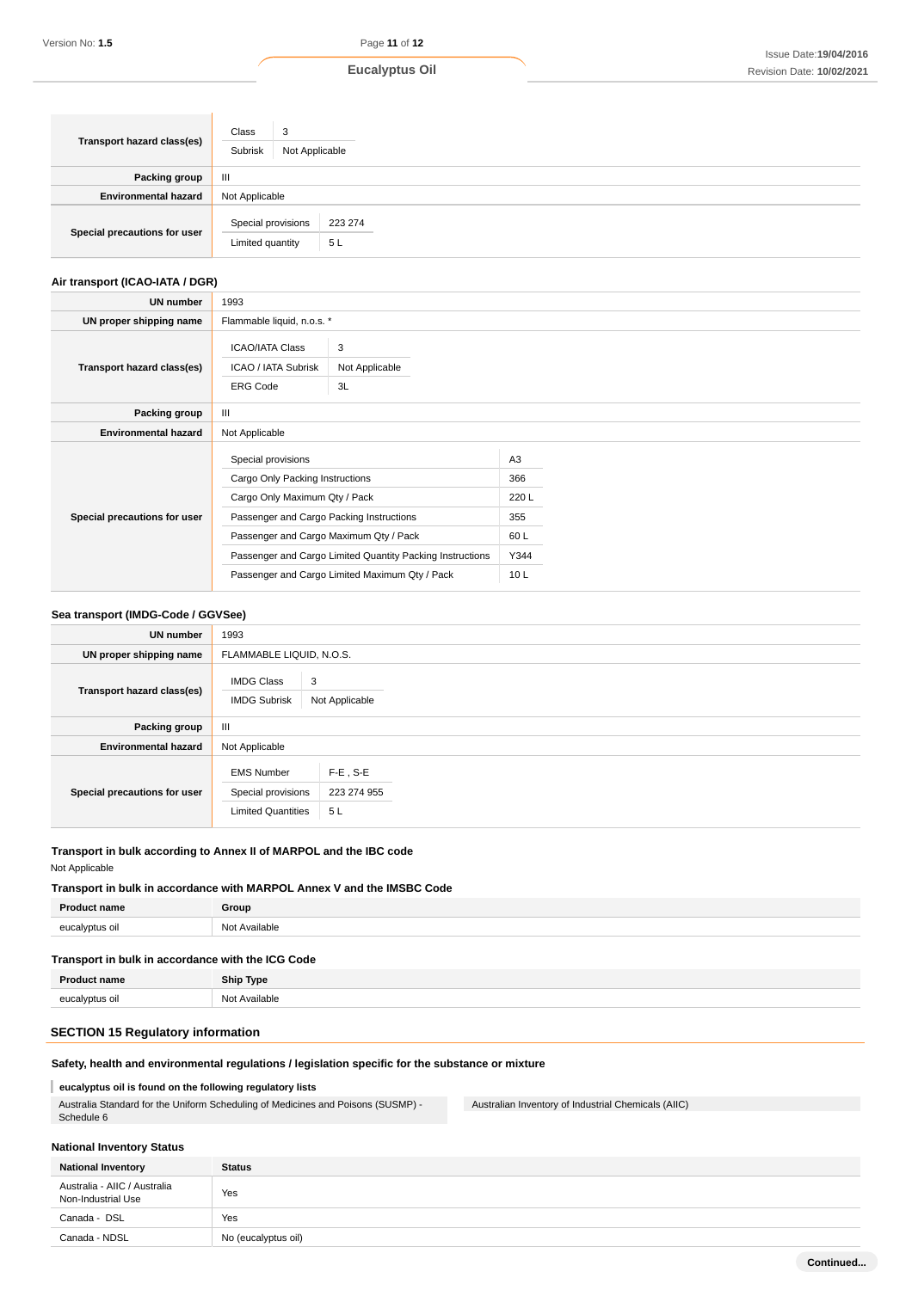| Transport hazard class(es)   | Class<br>3<br>Subrisk<br>Not Applicable |               |
|------------------------------|-----------------------------------------|---------------|
| Packing group                | Ш                                       |               |
| <b>Environmental hazard</b>  | Not Applicable                          |               |
| Special precautions for user | Special provisions<br>Limited quantity  | 223 274<br>5L |

# **Air transport (ICAO-IATA / DGR)**

| UN number                    | 1993                                                                                                                                                                         |                                                                                                             |                                                              |  |
|------------------------------|------------------------------------------------------------------------------------------------------------------------------------------------------------------------------|-------------------------------------------------------------------------------------------------------------|--------------------------------------------------------------|--|
| UN proper shipping name      | Flammable liquid, n.o.s. *                                                                                                                                                   |                                                                                                             |                                                              |  |
| Transport hazard class(es)   | <b>ICAO/IATA Class</b><br>ICAO / IATA Subrisk<br><b>ERG Code</b>                                                                                                             | 3<br>Not Applicable<br>3L                                                                                   |                                                              |  |
| Packing group                | III                                                                                                                                                                          |                                                                                                             |                                                              |  |
| <b>Environmental hazard</b>  | Not Applicable                                                                                                                                                               |                                                                                                             |                                                              |  |
| Special precautions for user | Special provisions<br>Cargo Only Packing Instructions<br>Cargo Only Maximum Qty / Pack<br>Passenger and Cargo Packing Instructions<br>Passenger and Cargo Maximum Qty / Pack | Passenger and Cargo Limited Quantity Packing Instructions<br>Passenger and Cargo Limited Maximum Qty / Pack | A <sub>3</sub><br>366<br>220 L<br>355<br>60 L<br>Y344<br>10L |  |

### **Sea transport (IMDG-Code / GGVSee)**

| <b>UN number</b>             | 1993                                                                 |                                  |  |
|------------------------------|----------------------------------------------------------------------|----------------------------------|--|
| UN proper shipping name      | FLAMMABLE LIQUID, N.O.S.                                             |                                  |  |
| Transport hazard class(es)   | 3<br><b>IMDG Class</b><br><b>IMDG Subrisk</b>                        | Not Applicable                   |  |
| Packing group                | $\mathbf{III}$                                                       |                                  |  |
| <b>Environmental hazard</b>  | Not Applicable                                                       |                                  |  |
| Special precautions for user | <b>EMS Number</b><br>Special provisions<br><b>Limited Quantities</b> | $F-E$ , S-E<br>223 274 955<br>5L |  |

# **Transport in bulk according to Annex II of MARPOL and the IBC code**

Not Applicable

# **Product name Group Transport in bulk in accordance with MARPOL Annex V and the IMSBC Code** eucalyptus oil **Not Available**

# **Transport in bulk in accordance with the ICG Code**

| <b>Product name</b> | <b>Ship Type</b> |
|---------------------|------------------|
| eucalyptus oil      | Not Available    |

# **SECTION 15 Regulatory information**

# **Safety, health and environmental regulations / legislation specific for the substance or mixture**

# **eucalyptus oil is found on the following regulatory lists**

Australia Standard for the Uniform Scheduling of Medicines and Poisons (SUSMP) - Schedule 6

Australian Inventory of Industrial Chemicals (AIIC)

# **National Inventory Status**

| <b>National Inventory</b>                          | <b>Status</b>       |
|----------------------------------------------------|---------------------|
| Australia - AIIC / Australia<br>Non-Industrial Use | Yes                 |
| Canada - DSL                                       | Yes                 |
| Canada - NDSL                                      | No (eucalyptus oil) |